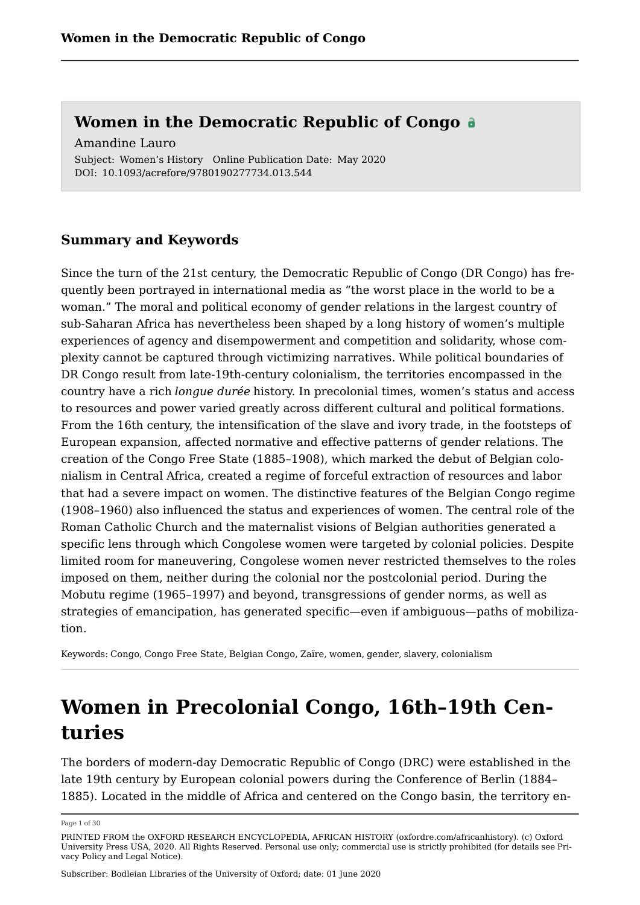Subject: Women's History Online Publication Date: May 2020 DOI: 10.1093/acrefore/9780190277734.013.544 Amandine Lauro

### **Summary and Keywords**

Since the turn of the 21st century, the Democratic Republic of Congo (DR Congo) has frequently been portrayed in international media as "the worst place in the world to be a woman." The moral and political economy of gender relations in the largest country of sub-Saharan Africa has nevertheless been shaped by a long history of women's multiple experiences of agency and disempowerment and competition and solidarity, whose complexity cannot be captured through victimizing narratives. While political boundaries of DR Congo result from late-19th-century colonialism, the territories encompassed in the country have a rich *longue durée* history. In precolonial times, women's status and access to resources and power varied greatly across different cultural and political formations. From the 16th century, the intensification of the slave and ivory trade, in the footsteps of European expansion, affected normative and effective patterns of gender relations. The creation of the Congo Free State (1885–1908), which marked the debut of Belgian colonialism in Central Africa, created a regime of forceful extraction of resources and labor that had a severe impact on women. The distinctive features of the Belgian Congo regime (1908–1960) also influenced the status and experiences of women. The central role of the Roman Catholic Church and the maternalist visions of Belgian authorities generated a specific lens through which Congolese women were targeted by colonial policies. Despite limited room for maneuvering, Congolese women never restricted themselves to the roles imposed on them, neither during the colonial nor the postcolonial period. During the Mobutu regime (1965–1997) and beyond, transgressions of gender norms, as well as strategies of emancipation, has generated specific—even if ambiguous—paths of mobilization.

Keywords: [Congo,](https://oxfordre.com/search?f_0=keyword&q_0=Congo) [Congo Free State](https://oxfordre.com/search?f_0=keyword&q_0=Congo Free State), [Belgian Congo,](https://oxfordre.com/search?f_0=keyword&q_0=Belgian Congo) [Zaïre,](https://oxfordre.com/search?f_0=keyword&q_0=Za�re) [women,](https://oxfordre.com/search?f_0=keyword&q_0=women) [gender](https://oxfordre.com/search?f_0=keyword&q_0=gender), [slavery,](https://oxfordre.com/search?f_0=keyword&q_0=slavery) [colonialism](https://oxfordre.com/search?f_0=keyword&q_0=colonialism)

# **Women in Precolonial Congo, 16th–19th Centuries**

The borders of modern-day Democratic Republic of Congo (DRC) were established in the late 19th century by European colonial powers during the Conference of Berlin (1884– 1885). Located in the middle of Africa and centered on the Congo basin, the territory en

Page 1 of 30

PRINTED FROM the OXFORD RESEARCH ENCYCLOPEDIA, AFRICAN HISTORY (oxfordre.com/africanhistory). (c) Oxford University Press USA, 2020. All Rights Reserved. Personal use only; commercial use is strictly prohibited (for details see [Pri](https://global.oup.com/privacy)[vacy Policy](https://global.oup.com/privacy) and [Legal Notice](https://oxfordre.com/page/legal-notice)).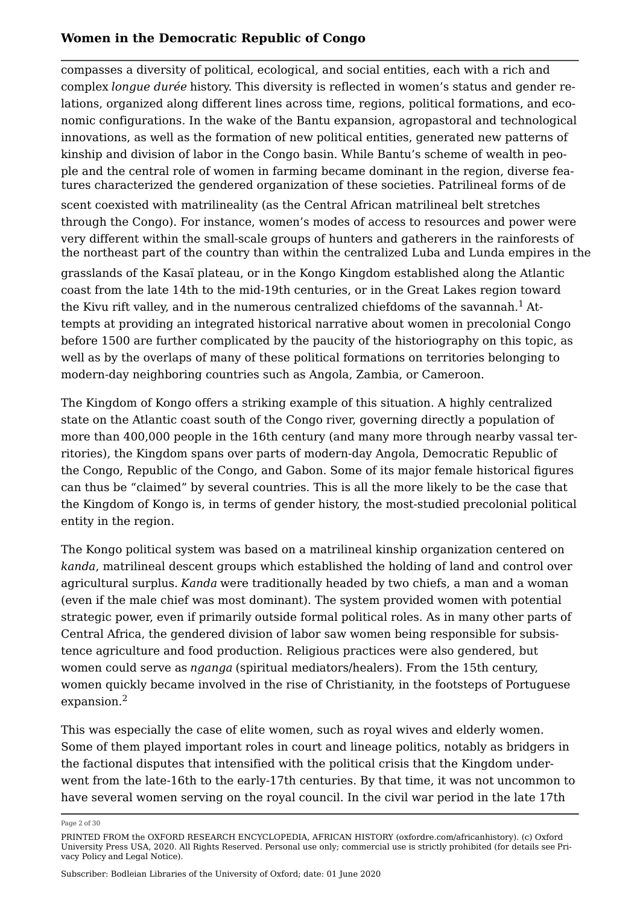compasses a diversity of political, ecological, and social entities, each with a rich and complex *longue durée* history. This diversity is reflected in women's status and gender relations, organized along different lines across time, regions, political formations, and economic configurations. In the wake of the Bantu expansion, agropastoral and technological innovations, as well as the formation of new political entities, generated new patterns of kinship and division of labor in the Congo basin. While Bantu's scheme of wealth in people and the central role of women in farming became dominant in the region, diverse features characterized the gendered organization of these societies. Patrilineal forms of de

scent coexisted with matrilineality (as the Central African matrilineal belt stretches through the Congo). For instance, women's modes of access to resources and power were very different within the small-scale groups of hunters and gatherers in the rainforests of the northeast part of the country than within the centralized Luba and Lunda empires in the

<span id="page-1-0"></span>grasslands of the Kasaï plateau, or in the Kongo Kingdom established along the Atlantic coast from the late 14th to the mid-19th centuries, or in the Great Lakes region toward the Kivu rift valley, and in the numerous centralized chiefdoms of the savannah.<sup>[1](#page-19-0)</sup> Attempts at providing an integrated historical narrative about women in precolonial Congo before 1500 are further complicated by the paucity of the historiography on this topic, as well as by the overlaps of many of these political formations on territories belonging to modern-day neighboring countries such as Angola, Zambia, or Cameroon.

The Kingdom of Kongo offers a striking example of this situation. A highly centralized state on the Atlantic coast south of the Congo river, governing directly a population of more than 400,000 people in the 16th century (and many more through nearby vassal territories), the Kingdom spans over parts of modern-day Angola, Democratic Republic of the Congo, Republic of the Congo, and Gabon. Some of its major female historical figures can thus be "claimed" by several countries. This is all the more likely to be the case that the Kingdom of Kongo is, in terms of gender history, the most-studied precolonial political entity in the region.

The Kongo political system was based on a matrilineal kinship organization centered on *kanda*, matrilineal descent groups which established the holding of land and control over agricultural surplus. *Kanda* were traditionally headed by two chiefs, a man and a woman (even if the male chief was most dominant). The system provided women with potential strategic power, even if primarily outside formal political roles. As in many other parts of Central Africa, the gendered division of labor saw women being responsible for subsistence agriculture and food production. Religious practices were also gendered, but women could serve as *nganga* (spiritual mediators/healers). From the 15th century, women quickly became involved in the rise of Christianity, in the footsteps of Portuguese expansion.[2](#page-20-0)

<span id="page-1-1"></span>This was especially the case of elite women, such as royal wives and elderly women. Some of them played important roles in court and lineage politics, notably as bridgers in the factional disputes that intensified with the political crisis that the Kingdom underwent from the late-16th to the early-17th centuries. By that time, it was not uncommon to have several women serving on the royal council. In the civil war period in the late 17th

Page 2 of 30

PRINTED FROM the OXFORD RESEARCH ENCYCLOPEDIA, AFRICAN HISTORY (oxfordre.com/africanhistory). (c) Oxford University Press USA, 2020. All Rights Reserved. Personal use only; commercial use is strictly prohibited (for details see [Pri](https://global.oup.com/privacy)[vacy Policy](https://global.oup.com/privacy) and [Legal Notice](https://oxfordre.com/page/legal-notice)).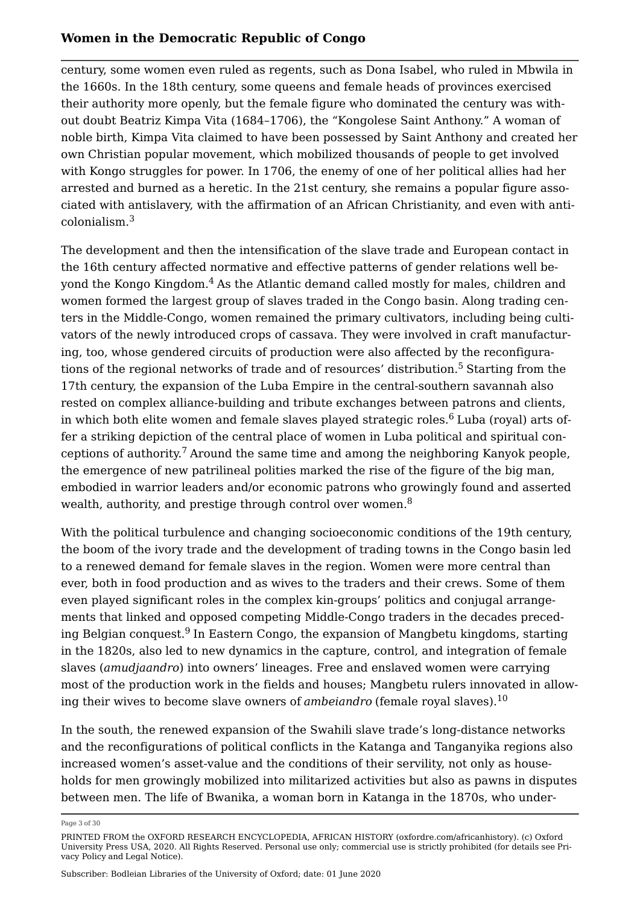century, some women even ruled as regents, such as Dona Isabel, who ruled in Mbwila in the 1660s. In the 18th century, some queens and female heads of provinces exercised their authority more openly, but the female figure who dominated the century was without doubt Beatriz Kimpa Vita (1684–1706), the "Kongolese Saint Anthony." A woman of noble birth, Kimpa Vita claimed to have been possessed by Saint Anthony and created her own Christian popular movement, which mobilized thousands of people to get involved with Kongo struggles for power. In 1706, the enemy of one of her political allies had her arrested and burned as a heretic. In the 21st century, she remains a popular figure associated with antislavery, with the affirmation of an African Christianity, and even with anticolonialism.[3](#page-20-1)

<span id="page-2-2"></span><span id="page-2-1"></span><span id="page-2-0"></span>The development and then the intensification of the slave trade and European contact in the 16th century affected normative and effective patterns of gender relations well beyond the Kongo Kingdom.[4](#page-20-2) As the Atlantic demand called mostly for males, children and women formed the largest group of slaves traded in the Congo basin. Along trading centers in the Middle-Congo, women remained the primary cultivators, including being cultivators of the newly introduced crops of cassava. They were involved in craft manufacturing, too, whose gendered circuits of production were also affected by the reconfigura-tions of the regional networks of trade and of resources' distribution.<sup>[5](#page-20-3)</sup> Starting from the 17th century, the expansion of the Luba Empire in the central-southern savannah also rested on complex alliance-building and tribute exchanges between patrons and clients, in which both elite women and female slaves played strategic roles. $6$  Luba (royal) arts offer a striking depiction of the central place of women in Luba political and spiritual con-ceptions of authority.<sup>[7](#page-20-5)</sup> Around the same time and among the neighboring Kanyok people, the emergence of new patrilineal polities marked the rise of the figure of the big man, embodied in warrior leaders and/or economic patrons who growingly found and asserted wealth, authority, and prestige through control over women.<sup>[8](#page-20-6)</sup>

<span id="page-2-5"></span><span id="page-2-4"></span><span id="page-2-3"></span>With the political turbulence and changing socioeconomic conditions of the 19th century, the boom of the ivory trade and the development of trading towns in the Congo basin led to a renewed demand for female slaves in the region. Women were more central than ever, both in food production and as wives to the traders and their crews. Some of them even played significant roles in the complex kin-groups' politics and conjugal arrangements that linked and opposed competing Middle-Congo traders in the decades preceding Belgian conquest. $^9$  $^9$  In Eastern Congo, the expansion of Mangbetu kingdoms, starting in the 1820s, also led to new dynamics in the capture, control, and integration of female slaves (*amudjaandro*) into owners' lineages. Free and enslaved women were carrying most of the production work in the fields and houses; Mangbetu rulers innovated in allowing their wives to become slave owners of *ambeiandro* (female royal slaves).[10](#page-20-8)

<span id="page-2-7"></span><span id="page-2-6"></span>In the south, the renewed expansion of the Swahili slave trade's long-distance networks and the reconfigurations of political conflicts in the Katanga and Tanganyika regions also increased women's asset-value and the conditions of their servility, not only as households for men growingly mobilized into militarized activities but also as pawns in disputes between men. The life of Bwanika, a woman born in Katanga in the 1870s, who under

Page 3 of 30

PRINTED FROM the OXFORD RESEARCH ENCYCLOPEDIA, AFRICAN HISTORY (oxfordre.com/africanhistory). (c) Oxford University Press USA, 2020. All Rights Reserved. Personal use only; commercial use is strictly prohibited (for details see [Pri](https://global.oup.com/privacy)[vacy Policy](https://global.oup.com/privacy) and [Legal Notice](https://oxfordre.com/page/legal-notice)).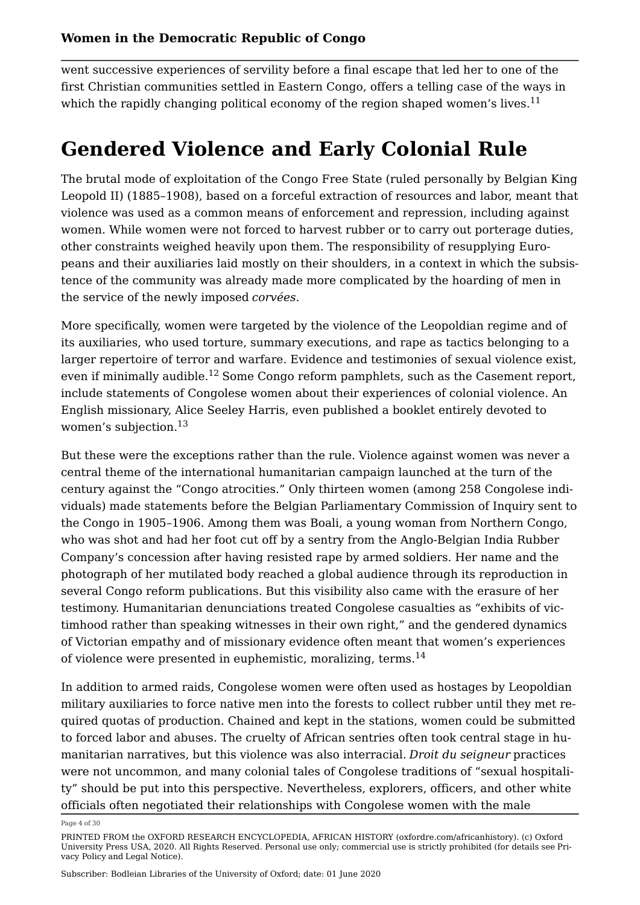<span id="page-3-0"></span>went successive experiences of servility before a final escape that led her to one of the first Christian communities settled in Eastern Congo, offers a telling case of the ways in which the rapidly changing political economy of the region shaped women's lives.<sup>[11](#page-20-9)</sup>

# **Gendered Violence and Early Colonial Rule**

The brutal mode of exploitation of the Congo Free State (ruled personally by Belgian King Leopold II) (1885–1908), based on a forceful extraction of resources and labor, meant that violence was used as a common means of enforcement and repression, including against women. While women were not forced to harvest rubber or to carry out porterage duties, other constraints weighed heavily upon them. The responsibility of resupplying Europeans and their auxiliaries laid mostly on their shoulders, in a context in which the subsistence of the community was already made more complicated by the hoarding of men in the service of the newly imposed *corvées*.

<span id="page-3-1"></span>More specifically, women were targeted by the violence of the Leopoldian regime and of its auxiliaries, who used torture, summary executions, and rape as tactics belonging to a larger repertoire of terror and warfare. Evidence and testimonies of sexual violence exist, even if minimally audible.<sup>[12](#page-21-0)</sup> Some Congo reform pamphlets, such as the Casement report, include statements of Congolese women about their experiences of colonial violence. An English missionary, Alice Seeley Harris, even published a booklet entirely devoted to women's subjection.[13](#page-21-1)

<span id="page-3-2"></span>But these were the exceptions rather than the rule. Violence against women was never a central theme of the international humanitarian campaign launched at the turn of the century against the "Congo atrocities." Only thirteen women (among 258 Congolese individuals) made statements before the Belgian Parliamentary Commission of Inquiry sent to the Congo in 1905–1906. Among them was Boali, a young woman from Northern Congo, who was shot and had her foot cut off by a sentry from the Anglo-Belgian India Rubber Company's concession after having resisted rape by armed soldiers. Her name and the photograph of her mutilated body reached a global audience through its reproduction in several Congo reform publications. But this visibility also came with the erasure of her testimony. Humanitarian denunciations treated Congolese casualties as "exhibits of victimhood rather than speaking witnesses in their own right," and the gendered dynamics of Victorian empathy and of missionary evidence often meant that women's experiences of violence were presented in euphemistic, moralizing, terms.<sup>[14](#page-21-2)</sup>

<span id="page-3-3"></span>In addition to armed raids, Congolese women were often used as hostages by Leopoldian military auxiliaries to force native men into the forests to collect rubber until they met required quotas of production. Chained and kept in the stations, women could be submitted to forced labor and abuses. The cruelty of African sentries often took central stage in humanitarian narratives, but this violence was also interracial. *Droit du seigneur* practices were not uncommon, and many colonial tales of Congolese traditions of "sexual hospitality" should be put into this perspective. Nevertheless, explorers, officers, and other white officials often negotiated their relationships with Congolese women with the male

Page 4 of 30

PRINTED FROM the OXFORD RESEARCH ENCYCLOPEDIA, AFRICAN HISTORY (oxfordre.com/africanhistory). (c) Oxford University Press USA, 2020. All Rights Reserved. Personal use only; commercial use is strictly prohibited (for details see [Pri](https://global.oup.com/privacy)[vacy Policy](https://global.oup.com/privacy) and [Legal Notice](https://oxfordre.com/page/legal-notice)).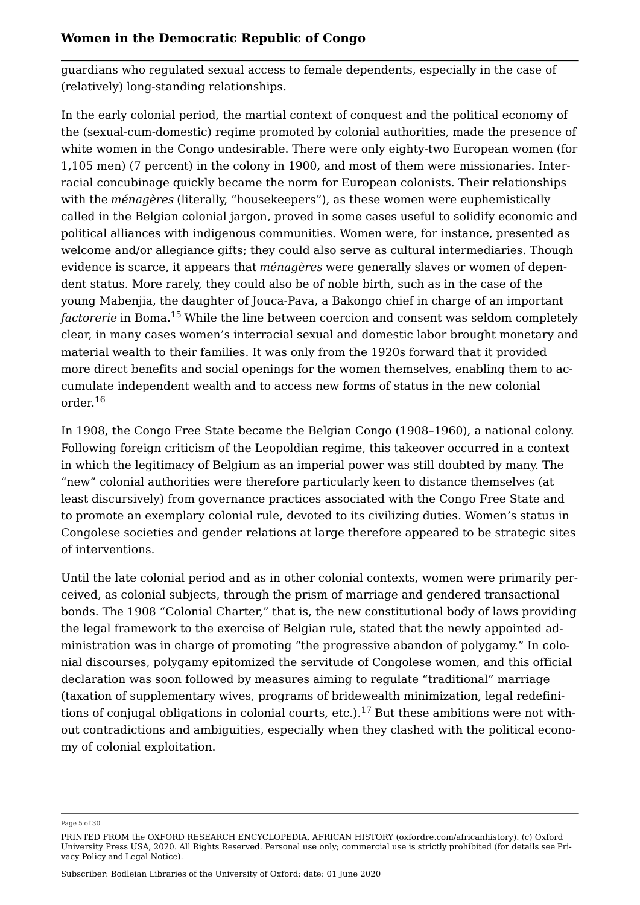guardians who regulated sexual access to female dependents, especially in the case of (relatively) long-standing relationships.

In the early colonial period, the martial context of conquest and the political economy of the (sexual-cum-domestic) regime promoted by colonial authorities, made the presence of white women in the Congo undesirable. There were only eighty-two European women (for 1,105 men) (7 percent) in the colony in 1900, and most of them were missionaries. Interracial concubinage quickly became the norm for European colonists. Their relationships with the *ménagères* (literally, "housekeepers"), as these women were euphemistically called in the Belgian colonial jargon, proved in some cases useful to solidify economic and political alliances with indigenous communities. Women were, for instance, presented as welcome and/or allegiance gifts; they could also serve as cultural intermediaries. Though evidence is scarce, it appears that *ménagères* were generally slaves or women of dependent status. More rarely, they could also be of noble birth, such as in the case of the young Mabenjia, the daughter of Jouca-Pava, a Bakongo chief in charge of an important *factorerie* in Boma.<sup>[15](#page-21-3)</sup> While the line between coercion and consent was seldom completely clear, in many cases women's interracial sexual and domestic labor brought monetary and material wealth to their families. It was only from the 1920s forward that it provided more direct benefits and social openings for the women themselves, enabling them to accumulate independent wealth and to access new forms of status in the new colonial order.[16](#page-21-4)

<span id="page-4-1"></span><span id="page-4-0"></span>In 1908, the Congo Free State became the Belgian Congo (1908–1960), a national colony. Following foreign criticism of the Leopoldian regime, this takeover occurred in a context in which the legitimacy of Belgium as an imperial power was still doubted by many. The "new" colonial authorities were therefore particularly keen to distance themselves (at least discursively) from governance practices associated with the Congo Free State and to promote an exemplary colonial rule, devoted to its civilizing duties. Women's status in Congolese societies and gender relations at large therefore appeared to be strategic sites of interventions.

Until the late colonial period and as in other colonial contexts, women were primarily perceived, as colonial subjects, through the prism of marriage and gendered transactional bonds. The 1908 "Colonial Charter," that is, the new constitutional body of laws providing the legal framework to the exercise of Belgian rule, stated that the newly appointed administration was in charge of promoting "the progressive abandon of polygamy." In colonial discourses, polygamy epitomized the servitude of Congolese women, and this official declaration was soon followed by measures aiming to regulate "traditional" marriage (taxation of supplementary wives, programs of bridewealth minimization, legal redefini-tions of conjugal obligations in colonial courts, etc.).<sup>[17](#page-21-5)</sup> But these ambitions were not without contradictions and ambiguities, especially when they clashed with the political economy of colonial exploitation.

<span id="page-4-2"></span>Page 5 of 30

PRINTED FROM the OXFORD RESEARCH ENCYCLOPEDIA, AFRICAN HISTORY (oxfordre.com/africanhistory). (c) Oxford University Press USA, 2020. All Rights Reserved. Personal use only; commercial use is strictly prohibited (for details see [Pri](https://global.oup.com/privacy)[vacy Policy](https://global.oup.com/privacy) and [Legal Notice](https://oxfordre.com/page/legal-notice)).

Subscriber: Bodleian Libraries of the University of Oxford; date: 01 June 2020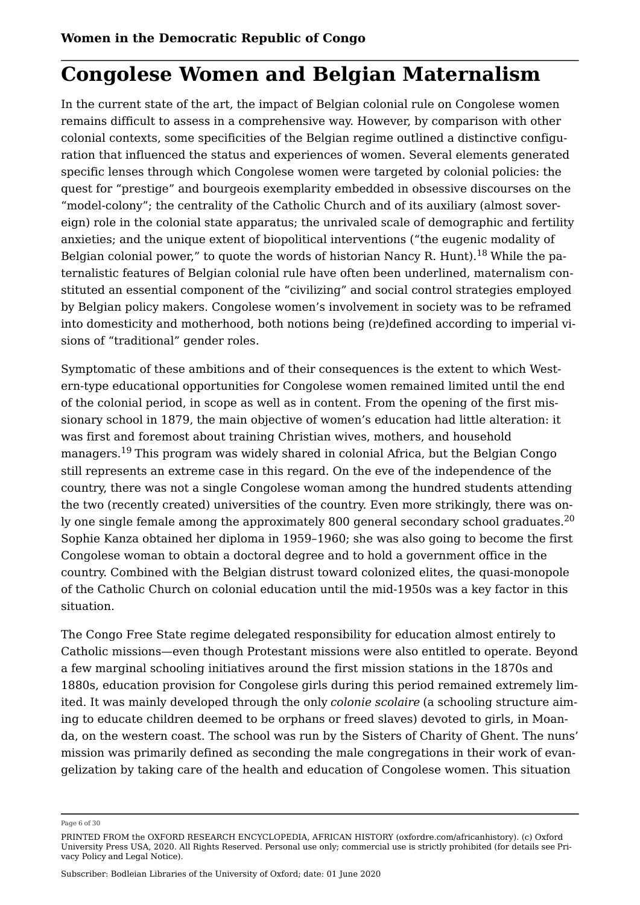# **Congolese Women and Belgian Maternalism**

In the current state of the art, the impact of Belgian colonial rule on Congolese women remains difficult to assess in a comprehensive way. However, by comparison with other colonial contexts, some specificities of the Belgian regime outlined a distinctive configuration that influenced the status and experiences of women. Several elements generated specific lenses through which Congolese women were targeted by colonial policies: the quest for "prestige" and bourgeois exemplarity embedded in obsessive discourses on the "model-colony"; the centrality of the Catholic Church and of its auxiliary (almost sovereign) role in the colonial state apparatus; the unrivaled scale of demographic and fertility anxieties; and the unique extent of biopolitical interventions ("the eugenic modality of Belgian colonial power," to quote the words of historian Nancy R. Hunt).<sup>[18](#page-21-6)</sup> While the paternalistic features of Belgian colonial rule have often been underlined, maternalism constituted an essential component of the "civilizing" and social control strategies employed by Belgian policy makers. Congolese women's involvement in society was to be reframed into domesticity and motherhood, both notions being (re)defined according to imperial visions of "traditional" gender roles.

<span id="page-5-1"></span><span id="page-5-0"></span>Symptomatic of these ambitions and of their consequences is the extent to which Western-type educational opportunities for Congolese women remained limited until the end of the colonial period, in scope as well as in content. From the opening of the first missionary school in 1879, the main objective of women's education had little alteration: it was first and foremost about training Christian wives, mothers, and household managers.[19](#page-21-7) This program was widely shared in colonial Africa, but the Belgian Congo still represents an extreme case in this regard. On the eve of the independence of the country, there was not a single Congolese woman among the hundred students attending the two (recently created) universities of the country. Even more strikingly, there was on-ly one single female among the approximately 800 general secondary school graduates.<sup>[20](#page-22-0)</sup> Sophie Kanza obtained her diploma in 1959–1960; she was also going to become the first Congolese woman to obtain a doctoral degree and to hold a government office in the country. Combined with the Belgian distrust toward colonized elites, the quasi-monopole of the Catholic Church on colonial education until the mid-1950s was a key factor in this situation.

<span id="page-5-2"></span>The Congo Free State regime delegated responsibility for education almost entirely to Catholic missions—even though Protestant missions were also entitled to operate. Beyond a few marginal schooling initiatives around the first mission stations in the 1870s and 1880s, education provision for Congolese girls during this period remained extremely limited. It was mainly developed through the only *colonie scolaire* (a schooling structure aiming to educate children deemed to be orphans or freed slaves) devoted to girls, in Moanda, on the western coast. The school was run by the Sisters of Charity of Ghent. The nuns' mission was primarily defined as seconding the male congregations in their work of evangelization by taking care of the health and education of Congolese women. This situation

Page 6 of 30

PRINTED FROM the OXFORD RESEARCH ENCYCLOPEDIA, AFRICAN HISTORY (oxfordre.com/africanhistory). (c) Oxford University Press USA, 2020. All Rights Reserved. Personal use only; commercial use is strictly prohibited (for details see [Pri](https://global.oup.com/privacy)[vacy Policy](https://global.oup.com/privacy) and [Legal Notice](https://oxfordre.com/page/legal-notice)).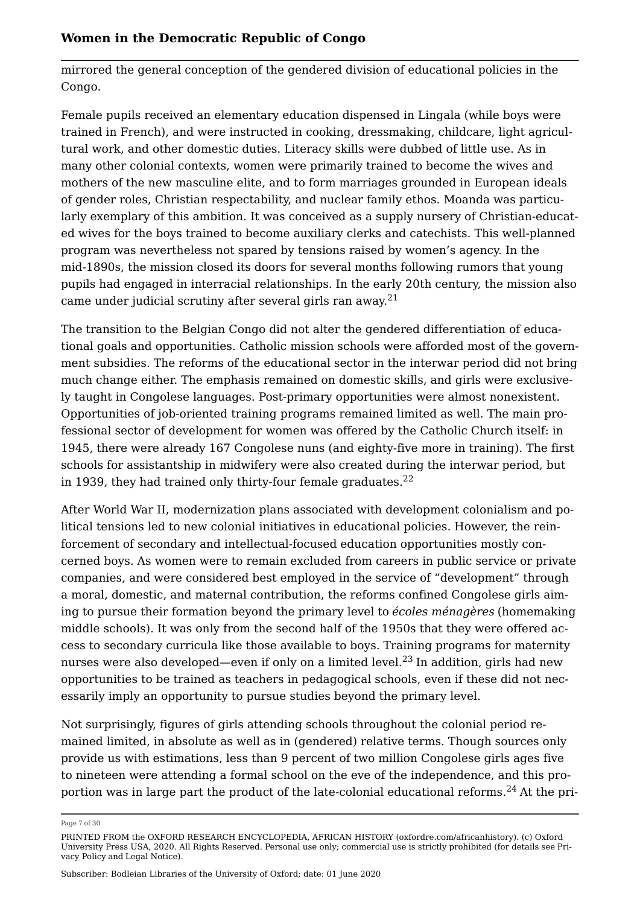mirrored the general conception of the gendered division of educational policies in the Congo.

Female pupils received an elementary education dispensed in Lingala (while boys were trained in French), and were instructed in cooking, dressmaking, childcare, light agricultural work, and other domestic duties. Literacy skills were dubbed of little use. As in many other colonial contexts, women were primarily trained to become the wives and mothers of the new masculine elite, and to form marriages grounded in European ideals of gender roles, Christian respectability, and nuclear family ethos. Moanda was particularly exemplary of this ambition. It was conceived as a supply nursery of Christian-educated wives for the boys trained to become auxiliary clerks and catechists. This well-planned program was nevertheless not spared by tensions raised by women's agency. In the mid-1890s, the mission closed its doors for several months following rumors that young pupils had engaged in interracial relationships. In the early 20th century, the mission also came under judicial scrutiny after several girls ran away.[21](#page-22-1)

<span id="page-6-0"></span>The transition to the Belgian Congo did not alter the gendered differentiation of educational goals and opportunities. Catholic mission schools were afforded most of the government subsidies. The reforms of the educational sector in the interwar period did not bring much change either. The emphasis remained on domestic skills, and girls were exclusively taught in Congolese languages. Post-primary opportunities were almost nonexistent. Opportunities of job-oriented training programs remained limited as well. The main professional sector of development for women was offered by the Catholic Church itself: in 1945, there were already 167 Congolese nuns (and eighty-five more in training). The first schools for assistantship in midwifery were also created during the interwar period, but in 1939, they had trained only thirty-four female graduates. $^{22}$  $^{22}$  $^{22}$ 

<span id="page-6-1"></span>After World War II, modernization plans associated with development colonialism and political tensions led to new colonial initiatives in educational policies. However, the reinforcement of secondary and intellectual-focused education opportunities mostly concerned boys. As women were to remain excluded from careers in public service or private companies, and were considered best employed in the service of "development" through a moral, domestic, and maternal contribution, the reforms confined Congolese girls aiming to pursue their formation beyond the primary level to *écoles ménagères* (homemaking middle schools). It was only from the second half of the 1950s that they were offered access to secondary curricula like those available to boys. Training programs for maternity nurses were also developed—even if only on a limited level.<sup>[23](#page-22-3)</sup> In addition, girls had new opportunities to be trained as teachers in pedagogical schools, even if these did not necessarily imply an opportunity to pursue studies beyond the primary level.

<span id="page-6-2"></span>Not surprisingly, figures of girls attending schools throughout the colonial period remained limited, in absolute as well as in (gendered) relative terms. Though sources only provide us with estimations, less than 9 percent of two million Congolese girls ages five to nineteen were attending a formal school on the eve of the independence, and this pro-portion was in large part the product of the late-colonial educational reforms.<sup>[24](#page-22-4)</sup> At the pri-

<span id="page-6-3"></span>Page 7 of 30

PRINTED FROM the OXFORD RESEARCH ENCYCLOPEDIA, AFRICAN HISTORY (oxfordre.com/africanhistory). (c) Oxford University Press USA, 2020. All Rights Reserved. Personal use only; commercial use is strictly prohibited (for details see [Pri](https://global.oup.com/privacy)[vacy Policy](https://global.oup.com/privacy) and [Legal Notice](https://oxfordre.com/page/legal-notice)).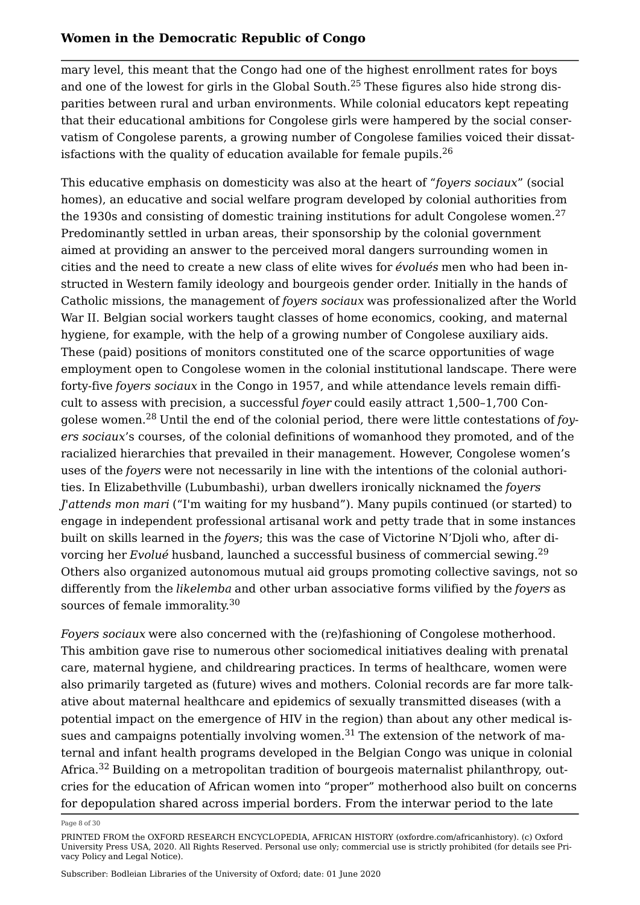<span id="page-7-0"></span>mary level, this meant that the Congo had one of the highest enrollment rates for boys and one of the lowest for girls in the Global South.[25](#page-22-5) These figures also hide strong disparities between rural and urban environments. While colonial educators kept repeating that their educational ambitions for Congolese girls were hampered by the social conservatism of Congolese parents, a growing number of Congolese families voiced their dissatisfactions with the quality of education available for female pupils. $^{26}$  $^{26}$  $^{26}$ 

<span id="page-7-2"></span><span id="page-7-1"></span>This educative emphasis on domesticity was also at the heart of "*foyers sociaux*" (social homes), an educative and social welfare program developed by colonial authorities from the 1930s and consisting of domestic training institutions for adult Congolese women.<sup>[27](#page-22-7)</sup> Predominantly settled in urban areas, their sponsorship by the colonial government aimed at providing an answer to the perceived moral dangers surrounding women in cities and the need to create a new class of elite wives for *évolués* men who had been instructed in Western family ideology and bourgeois gender order. Initially in the hands of Catholic missions, the management of *foyers sociaux* was professionalized after the World War II. Belgian social workers taught classes of home economics, cooking, and maternal hygiene, for example, with the help of a growing number of Congolese auxiliary aids. These (paid) positions of monitors constituted one of the scarce opportunities of wage employment open to Congolese women in the colonial institutional landscape. There were forty-five *foyers sociaux* in the Congo in 1957, and while attendance levels remain difficult to assess with precision, a successful *foyer* could easily attract 1,500–1,700 Congolese women.[28](#page-22-8) Until the end of the colonial period, there were little contestations of *foyers sociaux*'s courses, of the colonial definitions of womanhood they promoted, and of the racialized hierarchies that prevailed in their management. However, Congolese women's uses of the *foyers* were not necessarily in line with the intentions of the colonial authorities. In Elizabethville (Lubumbashi), urban dwellers ironically nicknamed the *foyers J'attends mon mari* ("I'm waiting for my husband"). Many pupils continued (or started) to engage in independent professional artisanal work and petty trade that in some instances built on skills learned in the *foyers*; this was the case of Victorine N'Djoli who, after divorcing her *Evolué* husband, launched a successful business of commercial sewing.<sup>[29](#page-22-9)</sup> Others also organized autonomous mutual aid groups promoting collective savings, not so differently from the *likelemba* and other urban associative forms vilified by the *foyers* as sources of female immorality.<sup>[30](#page-22-10)</sup>

<span id="page-7-5"></span><span id="page-7-4"></span><span id="page-7-3"></span>*Foyers sociaux* were also concerned with the (re)fashioning of Congolese motherhood. This ambition gave rise to numerous other sociomedical initiatives dealing with prenatal care, maternal hygiene, and childrearing practices. In terms of healthcare, women were also primarily targeted as (future) wives and mothers. Colonial records are far more talkative about maternal healthcare and epidemics of sexually transmitted diseases (with a potential impact on the emergence of HIV in the region) than about any other medical is-sues and campaigns potentially involving women.<sup>[31](#page-22-11)</sup> The extension of the network of maternal and infant health programs developed in the Belgian Congo was unique in colonial Africa.<sup>[32](#page-23-0)</sup> Building on a metropolitan tradition of bourgeois maternalist philanthropy, outcries for the education of African women into "proper" motherhood also built on concerns for depopulation shared across imperial borders. From the interwar period to the late

<span id="page-7-7"></span><span id="page-7-6"></span>Page 8 of 30

PRINTED FROM the OXFORD RESEARCH ENCYCLOPEDIA, AFRICAN HISTORY (oxfordre.com/africanhistory). (c) Oxford University Press USA, 2020. All Rights Reserved. Personal use only; commercial use is strictly prohibited (for details see [Pri](https://global.oup.com/privacy)[vacy Policy](https://global.oup.com/privacy) and [Legal Notice](https://oxfordre.com/page/legal-notice)).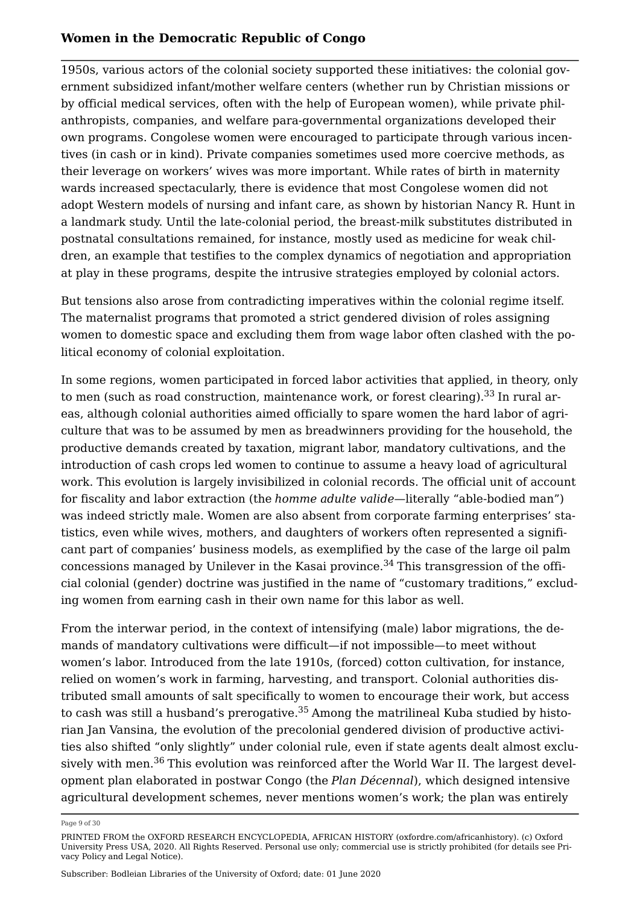1950s, various actors of the colonial society supported these initiatives: the colonial government subsidized infant/mother welfare centers (whether run by Christian missions or by official medical services, often with the help of European women), while private philanthropists, companies, and welfare para-governmental organizations developed their own programs. Congolese women were encouraged to participate through various incentives (in cash or in kind). Private companies sometimes used more coercive methods, as their leverage on workers' wives was more important. While rates of birth in maternity wards increased spectacularly, there is evidence that most Congolese women did not adopt Western models of nursing and infant care, as shown by historian Nancy R. Hunt in a landmark study. Until the late-colonial period, the breast-milk substitutes distributed in postnatal consultations remained, for instance, mostly used as medicine for weak children, an example that testifies to the complex dynamics of negotiation and appropriation at play in these programs, despite the intrusive strategies employed by colonial actors.

But tensions also arose from contradicting imperatives within the colonial regime itself. The maternalist programs that promoted a strict gendered division of roles assigning women to domestic space and excluding them from wage labor often clashed with the political economy of colonial exploitation.

<span id="page-8-0"></span>In some regions, women participated in forced labor activities that applied, in theory, only to men (such as road construction, maintenance work, or forest clearing).<sup>[33](#page-23-1)</sup> In rural areas, although colonial authorities aimed officially to spare women the hard labor of agriculture that was to be assumed by men as breadwinners providing for the household, the productive demands created by taxation, migrant labor, mandatory cultivations, and the introduction of cash crops led women to continue to assume a heavy load of agricultural work. This evolution is largely invisibilized in colonial records. The official unit of account for fiscality and labor extraction (the *homme adulte valide*—literally "able-bodied man") was indeed strictly male. Women are also absent from corporate farming enterprises' statistics, even while wives, mothers, and daughters of workers often represented a significant part of companies' business models, as exemplified by the case of the large oil palm concessions managed by Unilever in the Kasai province. $34$  This transgression of the official colonial (gender) doctrine was justified in the name of "customary traditions," excluding women from earning cash in their own name for this labor as well.

<span id="page-8-2"></span><span id="page-8-1"></span>From the interwar period, in the context of intensifying (male) labor migrations, the demands of mandatory cultivations were difficult—if not impossible—to meet without women's labor. Introduced from the late 1910s, (forced) cotton cultivation, for instance, relied on women's work in farming, harvesting, and transport. Colonial authorities distributed small amounts of salt specifically to women to encourage their work, but access to cash was still a husband's prerogative.<sup>[35](#page-23-3)</sup> Among the matrilineal Kuba studied by historian Jan Vansina, the evolution of the precolonial gendered division of productive activities also shifted "only slightly" under colonial rule, even if state agents dealt almost exclusively with men.[36](#page-23-4) This evolution was reinforced after the World War II. The largest development plan elaborated in postwar Congo (the *Plan Décennal*), which designed intensive agricultural development schemes, never mentions women's work; the plan was entirely

<span id="page-8-3"></span>Page 9 of 30

PRINTED FROM the OXFORD RESEARCH ENCYCLOPEDIA, AFRICAN HISTORY (oxfordre.com/africanhistory). (c) Oxford University Press USA, 2020. All Rights Reserved. Personal use only; commercial use is strictly prohibited (for details see [Pri](https://global.oup.com/privacy)[vacy Policy](https://global.oup.com/privacy) and [Legal Notice](https://oxfordre.com/page/legal-notice)).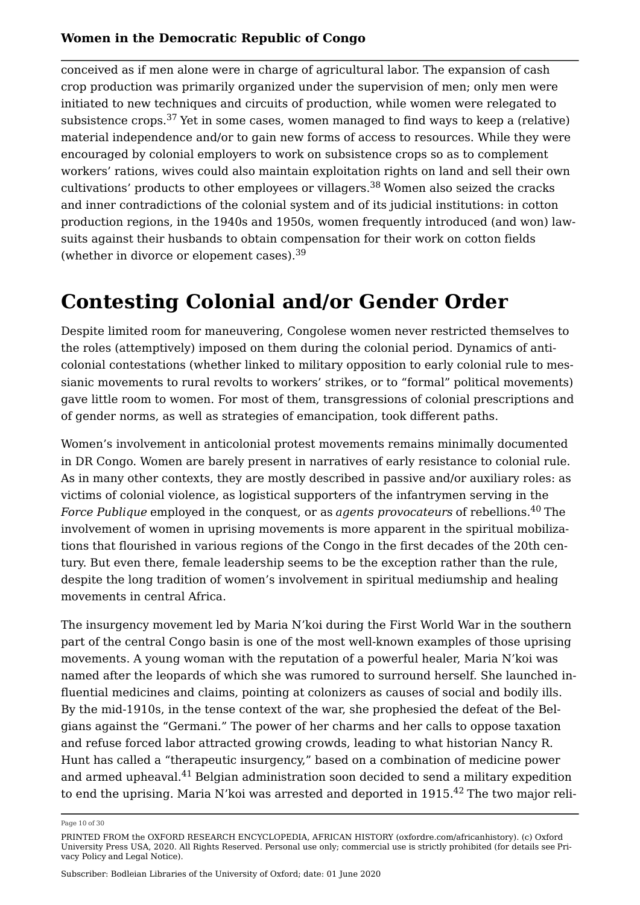<span id="page-9-0"></span>conceived as if men alone were in charge of agricultural labor. The expansion of cash crop production was primarily organized under the supervision of men; only men were initiated to new techniques and circuits of production, while women were relegated to subsistence crops.<sup>[37](#page-23-5)</sup> Yet in some cases, women managed to find ways to keep a (relative) material independence and/or to gain new forms of access to resources. While they were encouraged by colonial employers to work on subsistence crops so as to complement workers' rations, wives could also maintain exploitation rights on land and sell their own cultivations' products to other employees or villagers.<sup>[38](#page-23-6)</sup> Women also seized the cracks and inner contradictions of the colonial system and of its judicial institutions: in cotton production regions, in the 1940s and 1950s, women frequently introduced (and won) lawsuits against their husbands to obtain compensation for their work on cotton fields (whether in divorce or elopement cases).[39](#page-23-7)

# <span id="page-9-2"></span><span id="page-9-1"></span>**Contesting Colonial and/or Gender Order**

Despite limited room for maneuvering, Congolese women never restricted themselves to the roles (attemptively) imposed on them during the colonial period. Dynamics of anticolonial contestations (whether linked to military opposition to early colonial rule to messianic movements to rural revolts to workers' strikes, or to "formal" political movements) gave little room to women. For most of them, transgressions of colonial prescriptions and of gender norms, as well as strategies of emancipation, took different paths.

<span id="page-9-3"></span>Women's involvement in anticolonial protest movements remains minimally documented in DR Congo. Women are barely present in narratives of early resistance to colonial rule. As in many other contexts, they are mostly described in passive and/or auxiliary roles: as victims of colonial violence, as logistical supporters of the infantrymen serving in the *Force Publique* employed in the conquest, or as *agents provocateurs* of rebellions.<sup>[40](#page-23-8)</sup> The involvement of women in uprising movements is more apparent in the spiritual mobilizations that flourished in various regions of the Congo in the first decades of the 20th century. But even there, female leadership seems to be the exception rather than the rule, despite the long tradition of women's involvement in spiritual mediumship and healing movements in central Africa.

The insurgency movement led by Maria N'koi during the First World War in the southern part of the central Congo basin is one of the most well-known examples of those uprising movements. A young woman with the reputation of a powerful healer, Maria N'koi was named after the leopards of which she was rumored to surround herself. She launched influential medicines and claims, pointing at colonizers as causes of social and bodily ills. By the mid-1910s, in the tense context of the war, she prophesied the defeat of the Belgians against the "Germani." The power of her charms and her calls to oppose taxation and refuse forced labor attracted growing crowds, leading to what historian Nancy R. Hunt has called a "therapeutic insurgency," based on a combination of medicine power and armed upheaval.<sup>[41](#page-23-9)</sup> Belgian administration soon decided to send a military expedition to end the uprising. Maria N'koi was arrested and deported in  $1915.<sup>42</sup>$  $1915.<sup>42</sup>$  $1915.<sup>42</sup>$  The two major reli-

<span id="page-9-5"></span><span id="page-9-4"></span>Page 10 of 30

PRINTED FROM the OXFORD RESEARCH ENCYCLOPEDIA, AFRICAN HISTORY (oxfordre.com/africanhistory). (c) Oxford University Press USA, 2020. All Rights Reserved. Personal use only; commercial use is strictly prohibited (for details see [Pri](https://global.oup.com/privacy)[vacy Policy](https://global.oup.com/privacy) and [Legal Notice](https://oxfordre.com/page/legal-notice)).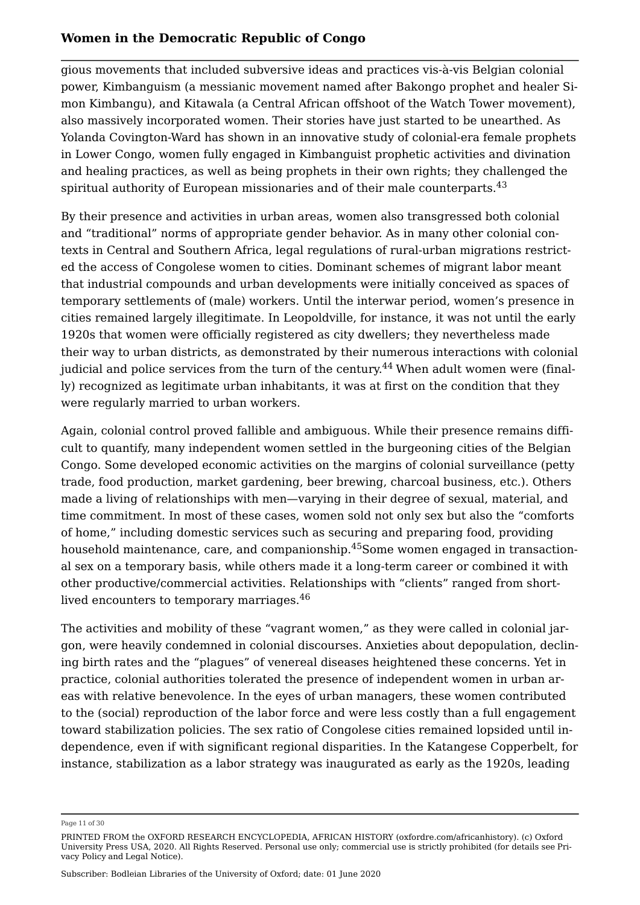gious movements that included subversive ideas and practices vis-à-vis Belgian colonial power, Kimbanguism (a messianic movement named after Bakongo prophet and healer Simon Kimbangu), and Kitawala (a Central African offshoot of the Watch Tower movement), also massively incorporated women. Their stories have just started to be unearthed. As Yolanda Covington-Ward has shown in an innovative study of colonial-era female prophets in Lower Congo, women fully engaged in Kimbanguist prophetic activities and divination and healing practices, as well as being prophets in their own rights; they challenged the spiritual authority of European missionaries and of their male counterparts.<sup>[43](#page-23-11)</sup>

<span id="page-10-0"></span>By their presence and activities in urban areas, women also transgressed both colonial and "traditional" norms of appropriate gender behavior. As in many other colonial contexts in Central and Southern Africa, legal regulations of rural-urban migrations restricted the access of Congolese women to cities. Dominant schemes of migrant labor meant that industrial compounds and urban developments were initially conceived as spaces of temporary settlements of (male) workers. Until the interwar period, women's presence in cities remained largely illegitimate. In Leopoldville, for instance, it was not until the early 1920s that women were officially registered as city dwellers; they nevertheless made their way to urban districts, as demonstrated by their numerous interactions with colonial judicial and police services from the turn of the century.<sup>[44](#page-24-0)</sup> When adult women were (finally) recognized as legitimate urban inhabitants, it was at first on the condition that they were regularly married to urban workers.

<span id="page-10-1"></span>Again, colonial control proved fallible and ambiguous. While their presence remains difficult to quantify, many independent women settled in the burgeoning cities of the Belgian Congo. Some developed economic activities on the margins of colonial surveillance (petty trade, food production, market gardening, beer brewing, charcoal business, etc.). Others made a living of relationships with men—varying in their degree of sexual, material, and time commitment. In most of these cases, women sold not only sex but also the "comforts of home," including domestic services such as securing and preparing food, providing household maintenance, care, and companionship.<sup>[45](#page-24-1)</sup>Some women engaged in transactional sex on a temporary basis, while others made it a long-term career or combined it with other productive/commercial activities. Relationships with "clients" ranged from short-lived encounters to temporary marriages.<sup>[46](#page-24-2)</sup>

<span id="page-10-3"></span><span id="page-10-2"></span>The activities and mobility of these "vagrant women," as they were called in colonial jargon, were heavily condemned in colonial discourses. Anxieties about depopulation, declining birth rates and the "plagues" of venereal diseases heightened these concerns. Yet in practice, colonial authorities tolerated the presence of independent women in urban areas with relative benevolence. In the eyes of urban managers, these women contributed to the (social) reproduction of the labor force and were less costly than a full engagement toward stabilization policies. The sex ratio of Congolese cities remained lopsided until independence, even if with significant regional disparities. In the Katangese Copperbelt, for instance, stabilization as a labor strategy was inaugurated as early as the 1920s, leading

Page 11 of 30

PRINTED FROM the OXFORD RESEARCH ENCYCLOPEDIA, AFRICAN HISTORY (oxfordre.com/africanhistory). (c) Oxford University Press USA, 2020. All Rights Reserved. Personal use only; commercial use is strictly prohibited (for details see [Pri](https://global.oup.com/privacy)[vacy Policy](https://global.oup.com/privacy) and [Legal Notice](https://oxfordre.com/page/legal-notice)).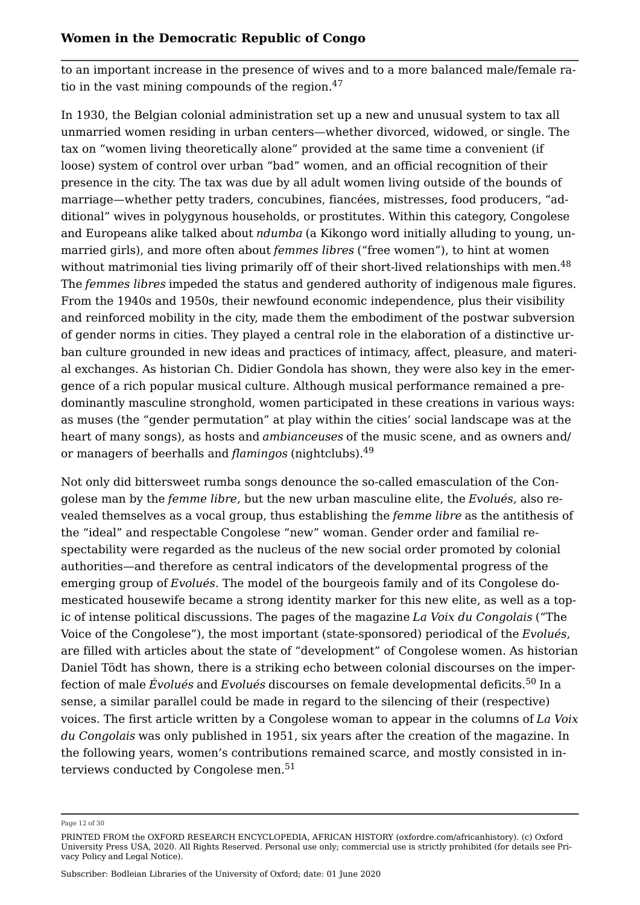<span id="page-11-0"></span>to an important increase in the presence of wives and to a more balanced male/female ra-tio in the vast mining compounds of the region.<sup>[47](#page-24-3)</sup>

<span id="page-11-1"></span>In 1930, the Belgian colonial administration set up a new and unusual system to tax all unmarried women residing in urban centers—whether divorced, widowed, or single. The tax on "women living theoretically alone" provided at the same time a convenient (if loose) system of control over urban "bad" women, and an official recognition of their presence in the city. The tax was due by all adult women living outside of the bounds of marriage—whether petty traders, concubines, fiancées, mistresses, food producers, "additional" wives in polygynous households, or prostitutes. Within this category, Congolese and Europeans alike talked about *ndumba* (a Kikongo word initially alluding to young, unmarried girls), and more often about *femmes libres* ("free women"), to hint at women without matrimonial ties living primarily off of their short-lived relationships with men.<sup>[48](#page-24-4)</sup> The *femmes libres* impeded the status and gendered authority of indigenous male figures. From the 1940s and 1950s, their newfound economic independence, plus their visibility and reinforced mobility in the city, made them the embodiment of the postwar subversion of gender norms in cities. They played a central role in the elaboration of a distinctive urban culture grounded in new ideas and practices of intimacy, affect, pleasure, and material exchanges. As historian Ch. Didier Gondola has shown, they were also key in the emergence of a rich popular musical culture. Although musical performance remained a predominantly masculine stronghold, women participated in these creations in various ways: as muses (the "gender permutation" at play within the cities' social landscape was at the heart of many songs), as hosts and *ambianceuses* of the music scene, and as owners and/ or managers of beerhalls and *flamingos* (nightclubs).[49](#page-24-5)

<span id="page-11-2"></span>Not only did bittersweet rumba songs denounce the so-called emasculation of the Congolese man by the *femme libre*, but the new urban masculine elite, the *Evolués*, also revealed themselves as a vocal group, thus establishing the *femme libre* as the antithesis of the "ideal" and respectable Congolese "new" woman. Gender order and familial respectability were regarded as the nucleus of the new social order promoted by colonial authorities—and therefore as central indicators of the developmental progress of the emerging group of *Evolués*. The model of the bourgeois family and of its Congolese domesticated housewife became a strong identity marker for this new elite, as well as a topic of intense political discussions. The pages of the magazine *La Voix du Congolais* ("The Voice of the Congolese"), the most important (state-sponsored) periodical of the *Evolués*, are filled with articles about the state of "development" of Congolese women. As historian Daniel Tödt has shown, there is a striking echo between colonial discourses on the imperfection of male *Évolués* and *Evolués* discourses on female developmental deficits.[50](#page-24-6) In a sense, a similar parallel could be made in regard to the silencing of their (respective) voices. The first article written by a Congolese woman to appear in the columns of *La Voix du Congolais* was only published in 1951, six years after the creation of the magazine. In the following years, women's contributions remained scarce, and mostly consisted in in-terviews conducted by Congolese men.<sup>[51](#page-24-7)</sup>

<span id="page-11-4"></span><span id="page-11-3"></span>Page 12 of 30

PRINTED FROM the OXFORD RESEARCH ENCYCLOPEDIA, AFRICAN HISTORY (oxfordre.com/africanhistory). (c) Oxford University Press USA, 2020. All Rights Reserved. Personal use only; commercial use is strictly prohibited (for details see [Pri](https://global.oup.com/privacy)[vacy Policy](https://global.oup.com/privacy) and [Legal Notice](https://oxfordre.com/page/legal-notice)).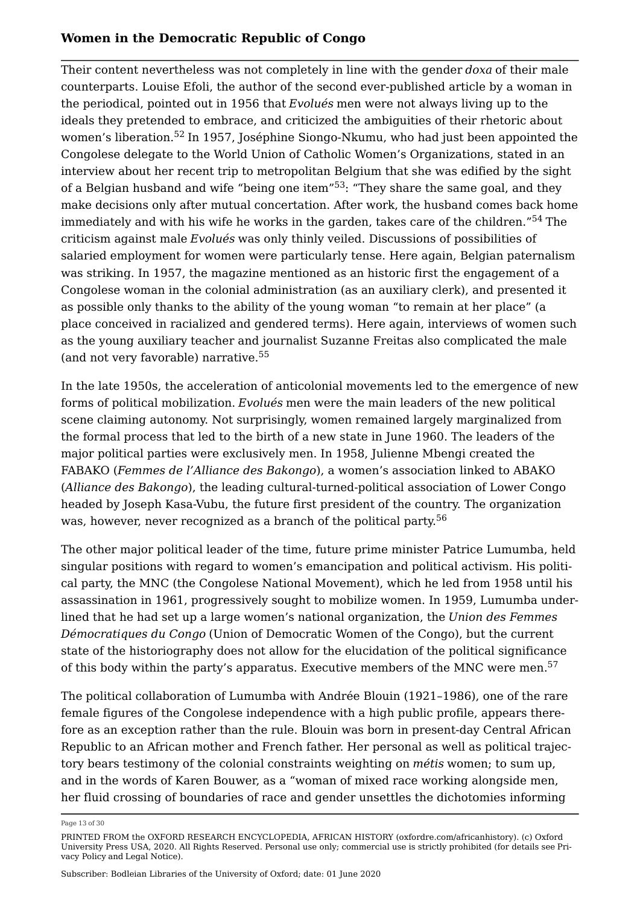<span id="page-12-2"></span><span id="page-12-1"></span><span id="page-12-0"></span>Their content nevertheless was not completely in line with the gender *doxa* of their male counterparts. Louise Efoli, the author of the second ever-published article by a woman in the periodical, pointed out in 1956 that *Evolués* men were not always living up to the ideals they pretended to embrace, and criticized the ambiguities of their rhetoric about women's liberation.[52](#page-24-8) In 1957, Joséphine Siongo-Nkumu, who had just been appointed the Congolese delegate to the World Union of Catholic Women's Organizations, stated in an interview about her recent trip to metropolitan Belgium that she was edified by the sight of a Belgian husband and wife "being one item"[53](#page-24-9): "They share the same goal, and they make decisions only after mutual concertation. After work, the husband comes back home immediately and with his wife he works in the garden, takes care of the children."[54](#page-25-0) The criticism against male *Evolués* was only thinly veiled. Discussions of possibilities of salaried employment for women were particularly tense. Here again, Belgian paternalism was striking. In 1957, the magazine mentioned as an historic first the engagement of a Congolese woman in the colonial administration (as an auxiliary clerk), and presented it as possible only thanks to the ability of the young woman "to remain at her place" (a place conceived in racialized and gendered terms). Here again, interviews of women such as the young auxiliary teacher and journalist Suzanne Freitas also complicated the male (and not very favorable) narrative.[55](#page-25-1)

<span id="page-12-3"></span>In the late 1950s, the acceleration of anticolonial movements led to the emergence of new forms of political mobilization. *Evolués* men were the main leaders of the new political scene claiming autonomy. Not surprisingly, women remained largely marginalized from the formal process that led to the birth of a new state in June 1960. The leaders of the major political parties were exclusively men. In 1958, Julienne Mbengi created the FABAKO (*Femmes de l'Alliance des Bakongo*), a women's association linked to ABAKO (*Alliance des Bakongo*), the leading cultural-turned-political association of Lower Congo headed by Joseph Kasa-Vubu, the future first president of the country. The organization was, however, never recognized as a branch of the political party.<sup>[56](#page-25-2)</sup>

<span id="page-12-4"></span>The other major political leader of the time, future prime minister Patrice Lumumba, held singular positions with regard to women's emancipation and political activism. His political party, the MNC (the Congolese National Movement), which he led from 1958 until his assassination in 1961, progressively sought to mobilize women. In 1959, Lumumba underlined that he had set up a large women's national organization, the *Union des Femmes Démocratiques du Congo* (Union of Democratic Women of the Congo), but the current state of the historiography does not allow for the elucidation of the political significance of this body within the party's apparatus. Executive members of the MNC were men.<sup>[57](#page-25-3)</sup>

<span id="page-12-5"></span>The political collaboration of Lumumba with Andrée Blouin (1921–1986), one of the rare female figures of the Congolese independence with a high public profile, appears therefore as an exception rather than the rule. Blouin was born in present-day Central African Republic to an African mother and French father. Her personal as well as political trajectory bears testimony of the colonial constraints weighting on *métis* women; to sum up, and in the words of Karen Bouwer, as a "woman of mixed race working alongside men, her fluid crossing of boundaries of race and gender unsettles the dichotomies informing

Page 13 of 30

PRINTED FROM the OXFORD RESEARCH ENCYCLOPEDIA, AFRICAN HISTORY (oxfordre.com/africanhistory). (c) Oxford University Press USA, 2020. All Rights Reserved. Personal use only; commercial use is strictly prohibited (for details see [Pri](https://global.oup.com/privacy)[vacy Policy](https://global.oup.com/privacy) and [Legal Notice](https://oxfordre.com/page/legal-notice)).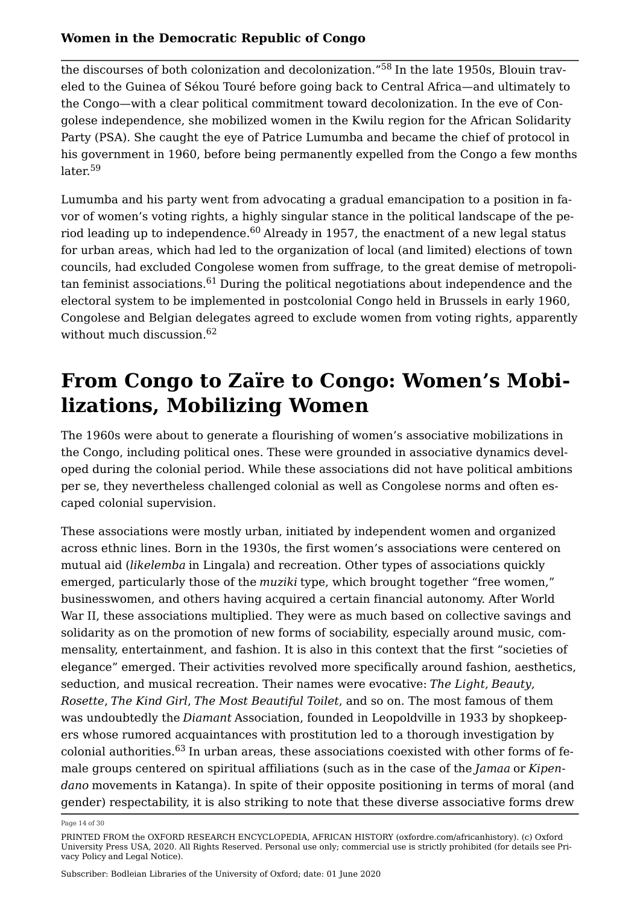<span id="page-13-0"></span>the discourses of both colonization and decolonization."[58](#page-25-4) In the late 1950s, Blouin traveled to the Guinea of Sékou Touré before going back to Central Africa—and ultimately to the Congo—with a clear political commitment toward decolonization. In the eve of Congolese independence, she mobilized women in the Kwilu region for the African Solidarity Party (PSA). She caught the eye of Patrice Lumumba and became the chief of protocol in his government in 1960, before being permanently expelled from the Congo a few months later.<sup>[59](#page-25-5)</sup>

<span id="page-13-3"></span><span id="page-13-2"></span><span id="page-13-1"></span>Lumumba and his party went from advocating a gradual emancipation to a position in favor of women's voting rights, a highly singular stance in the political landscape of the pe-riod leading up to independence.<sup>[60](#page-25-6)</sup> Already in 1957, the enactment of a new legal status for urban areas, which had led to the organization of local (and limited) elections of town councils, had excluded Congolese women from suffrage, to the great demise of metropoli-tan feminist associations.<sup>[61](#page-25-7)</sup> During the political negotiations about independence and the electoral system to be implemented in postcolonial Congo held in Brussels in early 1960, Congolese and Belgian delegates agreed to exclude women from voting rights, apparently without much discussion.<sup>[62](#page-25-8)</sup>

# <span id="page-13-4"></span>**From Congo to Zaïre to Congo: Women's Mobilizations, Mobilizing Women**

The 1960s were about to generate a flourishing of women's associative mobilizations in the Congo, including political ones. These were grounded in associative dynamics developed during the colonial period. While these associations did not have political ambitions per se, they nevertheless challenged colonial as well as Congolese norms and often escaped colonial supervision.

These associations were mostly urban, initiated by independent women and organized across ethnic lines. Born in the 1930s, the first women's associations were centered on mutual aid (*likelemba* in Lingala) and recreation. Other types of associations quickly emerged, particularly those of the *muziki* type, which brought together "free women," businesswomen, and others having acquired a certain financial autonomy. After World War II, these associations multiplied. They were as much based on collective savings and solidarity as on the promotion of new forms of sociability, especially around music, commensality, entertainment, and fashion. It is also in this context that the first "societies of elegance" emerged. Their activities revolved more specifically around fashion, aesthetics, seduction, and musical recreation. Their names were evocative: *The Light*, *Beauty*, *Rosette*, *The Kind Girl*, *The Most Beautiful Toilet*, and so on. The most famous of them was undoubtedly the *Diamant* Association, founded in Leopoldville in 1933 by shopkeepers whose rumored acquaintances with prostitution led to a thorough investigation by colonial authorities.[63](#page-25-9) In urban areas, these associations coexisted with other forms of female groups centered on spiritual affiliations (such as in the case of the *Jamaa* or *Kipendano* movements in Katanga). In spite of their opposite positioning in terms of moral (and gender) respectability, it is also striking to note that these diverse associative forms drew

<span id="page-13-5"></span>Page 14 of 30

PRINTED FROM the OXFORD RESEARCH ENCYCLOPEDIA, AFRICAN HISTORY (oxfordre.com/africanhistory). (c) Oxford University Press USA, 2020. All Rights Reserved. Personal use only; commercial use is strictly prohibited (for details see [Pri](https://global.oup.com/privacy)[vacy Policy](https://global.oup.com/privacy) and [Legal Notice](https://oxfordre.com/page/legal-notice)).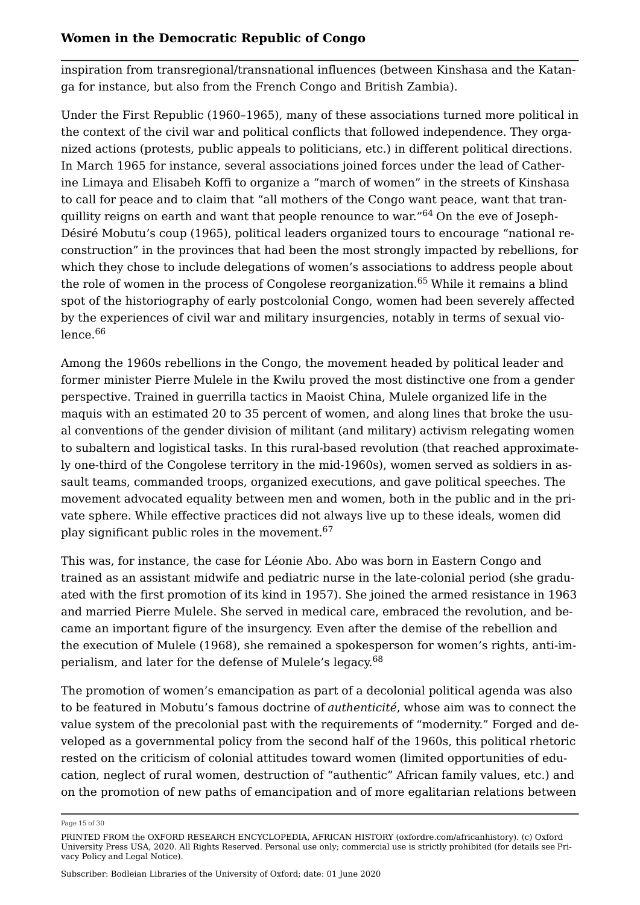inspiration from transregional/transnational influences (between Kinshasa and the Katanga for instance, but also from the French Congo and British Zambia).

<span id="page-14-0"></span>Under the First Republic (1960–1965), many of these associations turned more political in the context of the civil war and political conflicts that followed independence. They organized actions (protests, public appeals to politicians, etc.) in different political directions. In March 1965 for instance, several associations joined forces under the lead of Catherine Limaya and Elisabeh Koffi to organize a "march of women" in the streets of Kinshasa to call for peace and to claim that "all mothers of the Congo want peace, want that tran-quillity reigns on earth and want that people renounce to war."<sup>[64](#page-25-10)</sup> On the eve of Joseph-Désiré Mobutu's coup (1965), political leaders organized tours to encourage "national reconstruction" in the provinces that had been the most strongly impacted by rebellions, for which they chose to include delegations of women's associations to address people about the role of women in the process of Congolese reorganization.<sup>[65](#page-25-11)</sup> While it remains a blind spot of the historiography of early postcolonial Congo, women had been severely affected by the experiences of civil war and military insurgencies, notably in terms of sexual violence.[66](#page-25-12)

<span id="page-14-2"></span><span id="page-14-1"></span>Among the 1960s rebellions in the Congo, the movement headed by political leader and former minister Pierre Mulele in the Kwilu proved the most distinctive one from a gender perspective. Trained in guerrilla tactics in Maoist China, Mulele organized life in the maquis with an estimated 20 to 35 percent of women, and along lines that broke the usual conventions of the gender division of militant (and military) activism relegating women to subaltern and logistical tasks. In this rural-based revolution (that reached approximately one-third of the Congolese territory in the mid-1960s), women served as soldiers in assault teams, commanded troops, organized executions, and gave political speeches. The movement advocated equality between men and women, both in the public and in the private sphere. While effective practices did not always live up to these ideals, women did play significant public roles in the movement.<sup>[67](#page-25-13)</sup>

<span id="page-14-3"></span>This was, for instance, the case for Léonie Abo. Abo was born in Eastern Congo and trained as an assistant midwife and pediatric nurse in the late-colonial period (she graduated with the first promotion of its kind in 1957). She joined the armed resistance in 1963 and married Pierre Mulele. She served in medical care, embraced the revolution, and became an important figure of the insurgency. Even after the demise of the rebellion and the execution of Mulele (1968), she remained a spokesperson for women's rights, anti-imperialism, and later for the defense of Mulele's legacy.[68](#page-25-14)

<span id="page-14-4"></span>The promotion of women's emancipation as part of a decolonial political agenda was also to be featured in Mobutu's famous doctrine of *authenticité*, whose aim was to connect the value system of the precolonial past with the requirements of "modernity." Forged and developed as a governmental policy from the second half of the 1960s, this political rhetoric rested on the criticism of colonial attitudes toward women (limited opportunities of education, neglect of rural women, destruction of "authentic" African family values, etc.) and on the promotion of new paths of emancipation and of more egalitarian relations between

Page 15 of 30

PRINTED FROM the OXFORD RESEARCH ENCYCLOPEDIA, AFRICAN HISTORY (oxfordre.com/africanhistory). (c) Oxford University Press USA, 2020. All Rights Reserved. Personal use only; commercial use is strictly prohibited (for details see [Pri](https://global.oup.com/privacy)[vacy Policy](https://global.oup.com/privacy) and [Legal Notice](https://oxfordre.com/page/legal-notice)).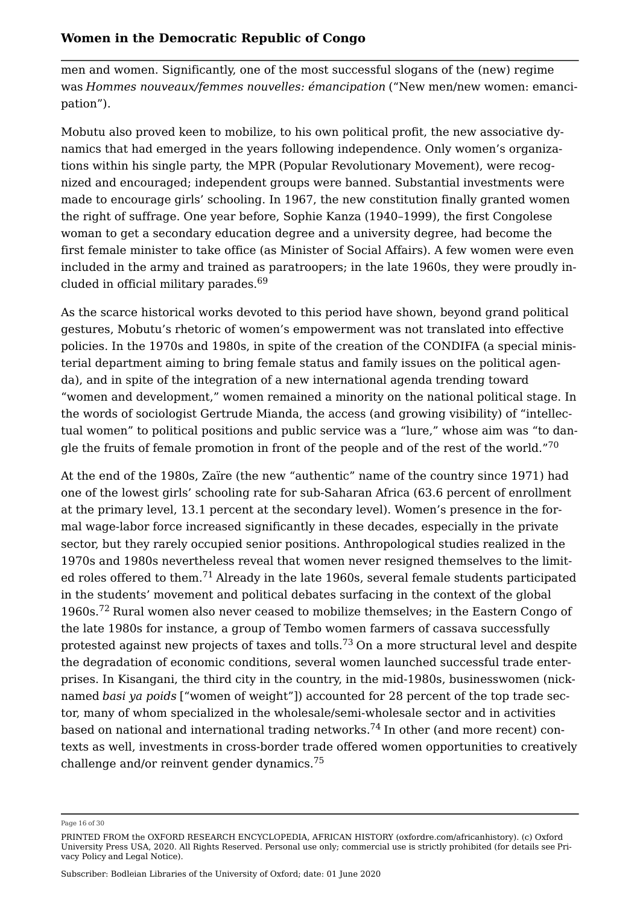men and women. Significantly, one of the most successful slogans of the (new) regime was *Hommes nouveaux/femmes nouvelles: émancipation* ("New men/new women: emancipation").

Mobutu also proved keen to mobilize, to his own political profit, the new associative dynamics that had emerged in the years following independence. Only women's organizations within his single party, the MPR (Popular Revolutionary Movement), were recognized and encouraged; independent groups were banned. Substantial investments were made to encourage girls' schooling. In 1967, the new constitution finally granted women the right of suffrage. One year before, Sophie Kanza (1940–1999), the first Congolese woman to get a secondary education degree and a university degree, had become the first female minister to take office (as Minister of Social Affairs). A few women were even included in the army and trained as paratroopers; in the late 1960s, they were proudly included in official military parades.[69](#page-26-0)

<span id="page-15-0"></span>As the scarce historical works devoted to this period have shown, beyond grand political gestures, Mobutu's rhetoric of women's empowerment was not translated into effective policies. In the 1970s and 1980s, in spite of the creation of the CONDIFA (a special ministerial department aiming to bring female status and family issues on the political agenda), and in spite of the integration of a new international agenda trending toward "women and development," women remained a minority on the national political stage. In the words of sociologist Gertrude Mianda, the access (and growing visibility) of "intellectual women" to political positions and public service was a "lure," whose aim was "to dan-gle the fruits of female promotion in front of the people and of the rest of the world."<sup>[70](#page-26-1)</sup>

<span id="page-15-4"></span><span id="page-15-3"></span><span id="page-15-2"></span><span id="page-15-1"></span>At the end of the 1980s, Zaïre (the new "authentic" name of the country since 1971) had one of the lowest girls' schooling rate for sub-Saharan Africa (63.6 percent of enrollment at the primary level, 13.1 percent at the secondary level). Women's presence in the formal wage-labor force increased significantly in these decades, especially in the private sector, but they rarely occupied senior positions. Anthropological studies realized in the 1970s and 1980s nevertheless reveal that women never resigned themselves to the limit-ed roles offered to them.<sup>[71](#page-26-2)</sup> Already in the late 1960s, several female students participated in the students' movement and political debates surfacing in the context of the global 1960s.[72](#page-26-3) Rural women also never ceased to mobilize themselves; in the Eastern Congo of the late 1980s for instance, a group of Tembo women farmers of cassava successfully protested against new projects of taxes and tolls.<sup>[73](#page-26-4)</sup> On a more structural level and despite the degradation of economic conditions, several women launched successful trade enterprises. In Kisangani, the third city in the country, in the mid-1980s, businesswomen (nicknamed *basi ya poids* ["women of weight"]) accounted for 28 percent of the top trade sector, many of whom specialized in the wholesale/semi-wholesale sector and in activities based on national and international trading networks.<sup>[74](#page-26-5)</sup> In other (and more recent) contexts as well, investments in cross-border trade offered women opportunities to creatively challenge and/or reinvent gender dynamics.<sup>[75](#page-26-6)</sup>

<span id="page-15-6"></span><span id="page-15-5"></span>Page 16 of 30

PRINTED FROM the OXFORD RESEARCH ENCYCLOPEDIA, AFRICAN HISTORY (oxfordre.com/africanhistory). (c) Oxford University Press USA, 2020. All Rights Reserved. Personal use only; commercial use is strictly prohibited (for details see [Pri](https://global.oup.com/privacy)[vacy Policy](https://global.oup.com/privacy) and [Legal Notice](https://oxfordre.com/page/legal-notice)).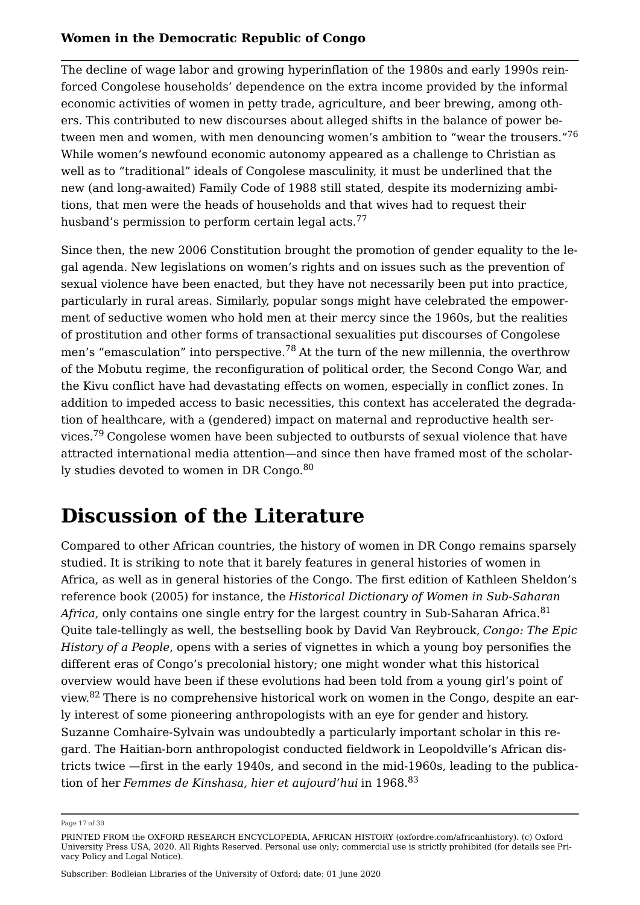<span id="page-16-0"></span>The decline of wage labor and growing hyperinflation of the 1980s and early 1990s reinforced Congolese households' dependence on the extra income provided by the informal economic activities of women in petty trade, agriculture, and beer brewing, among others. This contributed to new discourses about alleged shifts in the balance of power between men and women, with men denouncing women's ambition to "wear the trousers."[76](#page-26-7) While women's newfound economic autonomy appeared as a challenge to Christian as well as to "traditional" ideals of Congolese masculinity, it must be underlined that the new (and long-awaited) Family Code of 1988 still stated, despite its modernizing ambitions, that men were the heads of households and that wives had to request their husband's permission to perform certain legal acts.<sup>[77](#page-26-8)</sup>

<span id="page-16-2"></span><span id="page-16-1"></span>Since then, the new 2006 Constitution brought the promotion of gender equality to the legal agenda. New legislations on women's rights and on issues such as the prevention of sexual violence have been enacted, but they have not necessarily been put into practice, particularly in rural areas. Similarly, popular songs might have celebrated the empowerment of seductive women who hold men at their mercy since the 1960s, but the realities of prostitution and other forms of transactional sexualities put discourses of Congolese men's "emasculation" into perspective.<sup>[78](#page-27-0)</sup> At the turn of the new millennia, the overthrow of the Mobutu regime, the reconfiguration of political order, the Second Congo War, and the Kivu conflict have had devastating effects on women, especially in conflict zones. In addition to impeded access to basic necessities, this context has accelerated the degradation of healthcare, with a (gendered) impact on maternal and reproductive health ser-vices.<sup>[79](#page-27-1)</sup> Congolese women have been subjected to outbursts of sexual violence that have attracted international media attention—and since then have framed most of the scholarly studies devoted to women in DR Congo. $80$ 

# <span id="page-16-4"></span><span id="page-16-3"></span>**Discussion of the Literature**

<span id="page-16-5"></span>Compared to other African countries, the history of women in DR Congo remains sparsely studied. It is striking to note that it barely features in general histories of women in Africa, as well as in general histories of the Congo. The first edition of Kathleen Sheldon's reference book (2005) for instance, the *Historical Dictionary of Women in Sub-Saharan Africa*, only contains one single entry for the largest country in Sub-Saharan Africa.<sup>[81](#page-27-3)</sup> Quite tale-tellingly as well, the bestselling book by David Van Reybrouck, *Congo: The Epic History of a People*, opens with a series of vignettes in which a young boy personifies the different eras of Congo's precolonial history; one might wonder what this historical overview would have been if these evolutions had been told from a young girl's point of view.[82](#page-27-4) There is no comprehensive historical work on women in the Congo, despite an early interest of some pioneering anthropologists with an eye for gender and history. Suzanne Comhaire-Sylvain was undoubtedly a particularly important scholar in this regard. The Haitian-born anthropologist conducted fieldwork in Leopoldville's African districts twice —first in the early 1940s, and second in the mid-1960s, leading to the publication of her *Femmes de Kinshasa, hier et aujourd'hui* in 1968.<sup>[83](#page-27-5)</sup>

<span id="page-16-7"></span><span id="page-16-6"></span>Page 17 of 30

PRINTED FROM the OXFORD RESEARCH ENCYCLOPEDIA, AFRICAN HISTORY (oxfordre.com/africanhistory). (c) Oxford University Press USA, 2020. All Rights Reserved. Personal use only; commercial use is strictly prohibited (for details see [Pri](https://global.oup.com/privacy)[vacy Policy](https://global.oup.com/privacy) and [Legal Notice](https://oxfordre.com/page/legal-notice)).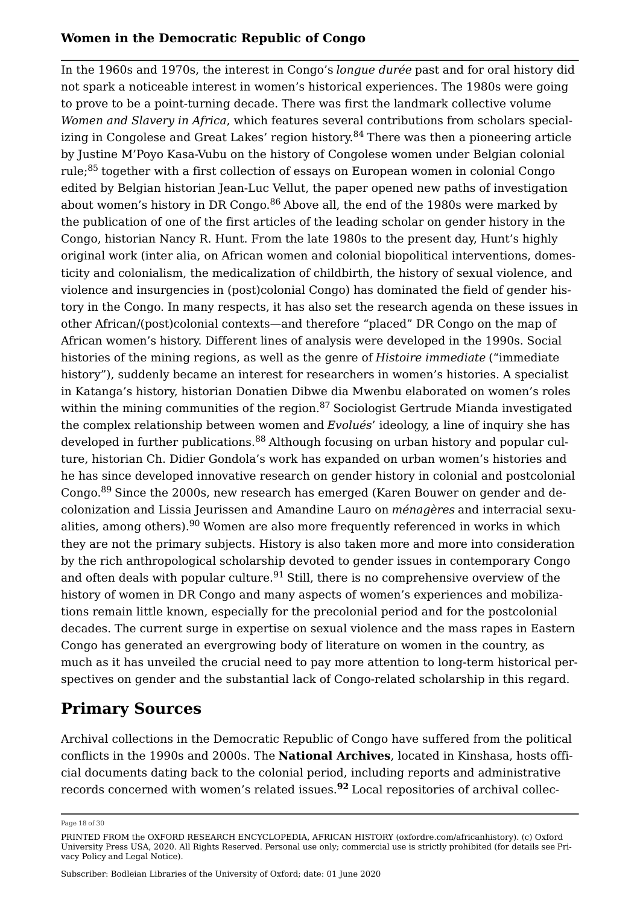<span id="page-17-2"></span><span id="page-17-1"></span><span id="page-17-0"></span>In the 1960s and 1970s, the interest in Congo's *longue durée* past and for oral history did not spark a noticeable interest in women's historical experiences. The 1980s were going to prove to be a point-turning decade. There was first the landmark collective volume *Women and Slavery in Africa*, which features several contributions from scholars special-izing in Congolese and Great Lakes' region history.<sup>[84](#page-27-6)</sup> There was then a pioneering article by Justine M'Poyo Kasa-Vubu on the history of Congolese women under Belgian colonial rule;[85](#page-27-7) together with a first collection of essays on European women in colonial Congo edited by Belgian historian Jean-Luc Vellut, the paper opened new paths of investigation about women's history in DR Congo.<sup>[86](#page-27-8)</sup> Above all, the end of the 1980s were marked by the publication of one of the first articles of the leading scholar on gender history in the Congo, historian Nancy R. Hunt. From the late 1980s to the present day, Hunt's highly original work (inter alia, on African women and colonial biopolitical interventions, domesticity and colonialism, the medicalization of childbirth, the history of sexual violence, and violence and insurgencies in (post)colonial Congo) has dominated the field of gender history in the Congo. In many respects, it has also set the research agenda on these issues in other African/(post)colonial contexts—and therefore "placed" DR Congo on the map of African women's history. Different lines of analysis were developed in the 1990s. Social histories of the mining regions, as well as the genre of *Histoire immediate* ("immediate history"), suddenly became an interest for researchers in women's histories. A specialist in Katanga's history, historian Donatien Dibwe dia Mwenbu elaborated on women's roles within the mining communities of the region.<sup>[87](#page-27-9)</sup> Sociologist Gertrude Mianda investigated the complex relationship between women and *Evolués*' ideology, a line of inquiry she has developed in further publications.<sup>[88](#page-27-10)</sup> Although focusing on urban history and popular culture, historian Ch. Didier Gondola's work has expanded on urban women's histories and he has since developed innovative research on gender history in colonial and postcolonial Congo.<sup>[89](#page-28-0)</sup> Since the 2000s, new research has emerged (Karen Bouwer on gender and decolonization and Lissia Jeurissen and Amandine Lauro on *ménagères* and interracial sexualities, among others).  $90$  Women are also more frequently referenced in works in which they are not the primary subjects. History is also taken more and more into consideration by the rich anthropological scholarship devoted to gender issues in contemporary Congo and often deals with popular culture.<sup>[91](#page-28-2)</sup> Still, there is no comprehensive overview of the history of women in DR Congo and many aspects of women's experiences and mobilizations remain little known, especially for the precolonial period and for the postcolonial decades. The current surge in expertise on sexual violence and the mass rapes in Eastern Congo has generated an evergrowing body of literature on women in the country, as much as it has unveiled the crucial need to pay more attention to long-term historical perspectives on gender and the substantial lack of Congo-related scholarship in this regard.

# <span id="page-17-7"></span><span id="page-17-6"></span><span id="page-17-5"></span><span id="page-17-4"></span><span id="page-17-3"></span>**Primary Sources**

Archival collections in the Democratic Republic of Congo have suffered from the political conflicts in the 1990s and 2000s. The **[National Archives](http://www.piaf-archives.org/annuaire/archives-nationales-du-congo)**, located in Kinshasa, hosts official documents dating back to the colonial period, including reports and administrative records concerned with women's related issues.**[92](#page-28-3)** Local repositories of archival collec

<span id="page-17-8"></span>Page 18 of 30

PRINTED FROM the OXFORD RESEARCH ENCYCLOPEDIA, AFRICAN HISTORY (oxfordre.com/africanhistory). (c) Oxford University Press USA, 2020. All Rights Reserved. Personal use only; commercial use is strictly prohibited (for details see [Pri](https://global.oup.com/privacy)[vacy Policy](https://global.oup.com/privacy) and [Legal Notice](https://oxfordre.com/page/legal-notice)).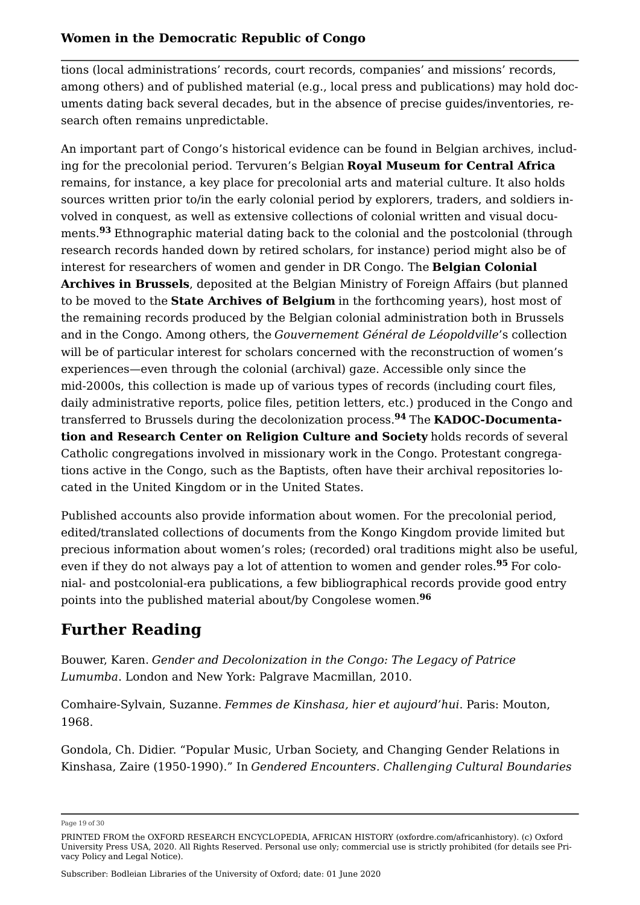tions (local administrations' records, court records, companies' and missions' records, among others) and of published material (e.g., local press and publications) may hold documents dating back several decades, but in the absence of precise guides/inventories, research often remains unpredictable.

<span id="page-18-0"></span>An important part of Congo's historical evidence can be found in Belgian archives, including for the precolonial period. Tervuren's Belgian **[Royal Museum for Central Africa](https://www.africamuseum.be/en/research/collections_libraries)** remains, for instance, a key place for precolonial arts and material culture. It also holds sources written prior to/in the early colonial period by explorers, traders, and soldiers involved in conquest, as well as extensive collections of colonial written and visual documents.**[93](#page-28-4)** Ethnographic material dating back to the colonial and the postcolonial (through research records handed down by retired scholars, for instance) period might also be of interest for researchers of women and gender in DR Congo. The **[Belgian Colonial](https://diplomatie.belgium.be/en/documentation/archives/sections_and_collections/africa_archive)  [Archives in Brussels](https://diplomatie.belgium.be/en/documentation/archives/sections_and_collections/africa_archive)**, deposited at the Belgian Ministry of Foreign Affairs (but planned to be moved to the **[State Archives of Belgium](http://arch.arch.be/index.php?l=en)** in the forthcoming years), host most of the remaining records produced by the Belgian colonial administration both in Brussels and in the Congo. Among others, the *Gouvernement Général de Léopoldville*'s collection will be of particular interest for scholars concerned with the reconstruction of women's experiences—even through the colonial (archival) gaze. Accessible only since the mid-2000s, this collection is made up of various types of records (including court files, daily administrative reports, police files, petition letters, etc.) produced in the Congo and transferred to Brussels during the decolonization process.**[94](#page-28-5)** The **[KADOC-Documenta](https://kadoc.kuleuven.be/english/index)[tion and Research Center on Religion Culture and Society](https://kadoc.kuleuven.be/english/index)** holds records of several Catholic congregations involved in missionary work in the Congo. Protestant congregations active in the Congo, such as the Baptists, often have their archival repositories located in the United Kingdom or in the United States.

<span id="page-18-2"></span><span id="page-18-1"></span>Published accounts also provide information about women. For the precolonial period, edited/translated collections of documents from the Kongo Kingdom provide limited but precious information about women's roles; (recorded) oral traditions might also be useful, even if they do not always pay a lot of attention to women and gender roles.**[95](#page-28-6)** For colonial- and postcolonial-era publications, a few bibliographical records provide good entry points into the published material about/by Congolese women.**[96](#page-28-7)**

# <span id="page-18-3"></span>**Further Reading**

Bouwer, Karen. *Gender and Decolonization in the Congo: The Legacy of Patrice Lumumba*. London and New York: Palgrave Macmillan, 2010.

Comhaire-Sylvain, Suzanne. *Femmes de Kinshasa, hier et aujourd'hui*. Paris: Mouton, 1968.

Gondola, Ch. Didier. "Popular Music, Urban Society, and Changing Gender Relations in Kinshasa, Zaire (1950-1990)." In *Gendered Encounters. Challenging Cultural Boundaries* 

Page 19 of 30

PRINTED FROM the OXFORD RESEARCH ENCYCLOPEDIA, AFRICAN HISTORY (oxfordre.com/africanhistory). (c) Oxford University Press USA, 2020. All Rights Reserved. Personal use only; commercial use is strictly prohibited (for details see [Pri](https://global.oup.com/privacy)[vacy Policy](https://global.oup.com/privacy) and [Legal Notice](https://oxfordre.com/page/legal-notice)).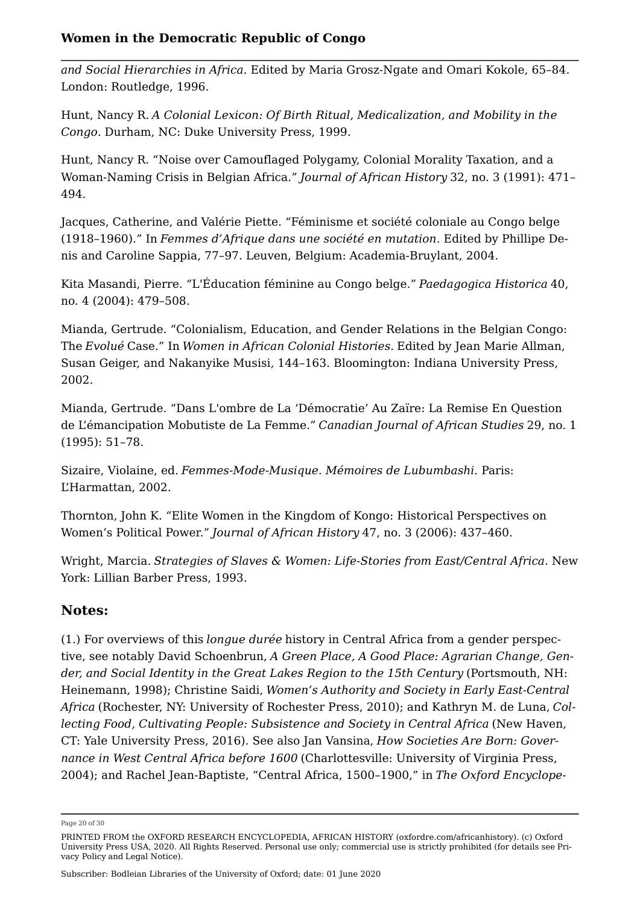*and Social Hierarchies in Africa*. Edited by Maria Grosz-Ngate and Omari Kokole, 65–84. London: Routledge, 1996.

Hunt, Nancy R. *A Colonial Lexicon: Of Birth Ritual, Medicalization, and Mobility in the Congo*. Durham, NC: Duke University Press, 1999.

Hunt, Nancy R. "Noise over Camouflaged Polygamy, Colonial Morality Taxation, and a Woman-Naming Crisis in Belgian Africa." *Journal of African History* 32, no. 3 (1991): 471– 494.

Jacques, Catherine, and Valérie Piette. "Féminisme et société coloniale au Congo belge (1918–1960)." In *Femmes d'Afrique dans une société en mutation*. Edited by Phillipe Denis and Caroline Sappia, 77–97. Leuven, Belgium: Academia-Bruylant, 2004.

Kita Masandi, Pierre. "L'Éducation féminine au Congo belge." *Paedagogica Historica* 40, no. 4 (2004): 479–508.

Mianda, Gertrude. "Colonialism, Education, and Gender Relations in the Belgian Congo: The *Evolué* Case." In *Women in African Colonial Histories.* Edited by Jean Marie Allman, Susan Geiger, and Nakanyike Musisi, 144–163. Bloomington: Indiana University Press, 2002.

Mianda, Gertrude. "Dans L'ombre de La 'Démocratie' Au Zaïre: La Remise En Question de L'émancipation Mobutiste de La Femme." *Canadian Journal of African Studies* 29, no. 1 (1995): 51–78.

Sizaire, Violaine, ed. *Femmes-Mode-Musique. Mémoires de Lubumbashi*. Paris: L'Harmattan, 2002.

Thornton, John K. "Elite Women in the Kingdom of Kongo: Historical Perspectives on Women's Political Power." *Journal of African History* 47, no. 3 (2006): 437–460.

Wright, Marcia. *Strategies of Slaves & Women: Life-Stories from East/Central Africa*. New York: Lillian Barber Press, 1993.

# **Notes:**

<span id="page-19-0"></span>([1.\)](#page-1-0) For overviews of this *longue durée* history in Central Africa from a gender perspective, see notably David Schoenbrun, *A Green Place, A Good Place: Agrarian Change, Gender, and Social Identity in the Great Lakes Region to the 15th Century* (Portsmouth, NH: Heinemann, 1998); Christine Saidi, *Women's Authority and Society in Early East-Central Africa* (Rochester, NY: University of Rochester Press, 2010); and Kathryn M. de Luna, *Collecting Food, Cultivating People: Subsistence and Society in Central Africa* (New Haven, CT: Yale University Press, 2016). See also Jan Vansina, *How Societies Are Born: Governance in West Central Africa before 1600* (Charlottesville: University of Virginia Press, 2004); and Rachel Jean-Baptiste, "Central Africa, 1500–1900," in *The Oxford Encyclope*

Page 20 of 30

PRINTED FROM the OXFORD RESEARCH ENCYCLOPEDIA, AFRICAN HISTORY (oxfordre.com/africanhistory). (c) Oxford University Press USA, 2020. All Rights Reserved. Personal use only; commercial use is strictly prohibited (for details see [Pri](https://global.oup.com/privacy)[vacy Policy](https://global.oup.com/privacy) and [Legal Notice](https://oxfordre.com/page/legal-notice)).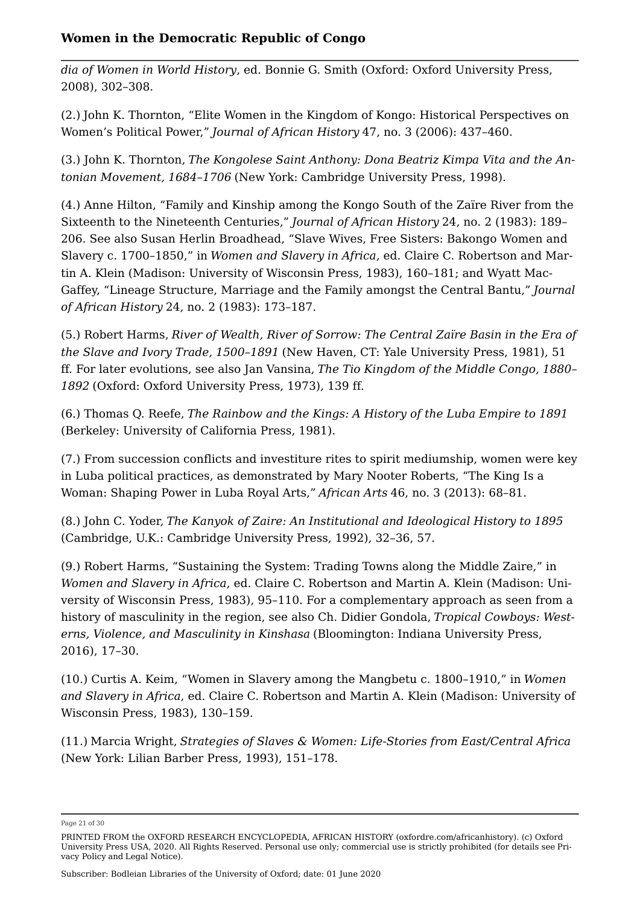*dia of Women in World History*, ed. Bonnie G. Smith (Oxford: Oxford University Press, 2008), 302–308.

<span id="page-20-0"></span>([2.\)](#page-1-1) [John K. Thornton, "Elite Women in the Kingdom of Kongo: Historical Perspectives on](https://oxfordre.com/view/10.1093/acrefore/9780190277734.001.0001/acrefore-9780190277734-e-544#acrefore-9780190277734-e-544-bibItem-0011)  [Women's Political Power,"](https://oxfordre.com/view/10.1093/acrefore/9780190277734.001.0001/acrefore-9780190277734-e-544#acrefore-9780190277734-e-544-bibItem-0011) *[Journal of African History](https://oxfordre.com/view/10.1093/acrefore/9780190277734.001.0001/acrefore-9780190277734-e-544#acrefore-9780190277734-e-544-bibItem-0011)* [47, no. 3 \(2006\): 437–460](https://oxfordre.com/view/10.1093/acrefore/9780190277734.001.0001/acrefore-9780190277734-e-544#acrefore-9780190277734-e-544-bibItem-0011).

<span id="page-20-1"></span>([3.\)](#page-2-0) John K. Thornton, *The Kongolese Saint Anthony: Dona Beatriz Kimpa Vita and the Antonian Movement, 1684–1706* (New York: Cambridge University Press, 1998).

<span id="page-20-2"></span>([4.](#page-2-1)) Anne Hilton, "Family and Kinship among the Kongo South of the Zaïre River from the Sixteenth to the Nineteenth Centuries," *Journal of African History* 24, no. 2 (1983): 189– 206. See also Susan Herlin Broadhead, "Slave Wives, Free Sisters: Bakongo Women and Slavery c. 1700–1850," in *Women and Slavery in Africa*, ed. Claire C. Robertson and Martin A. Klein (Madison: University of Wisconsin Press, 1983), 160–181; and Wyatt Mac-Gaffey, "Lineage Structure, Marriage and the Family amongst the Central Bantu," *Journal of African History* 24, no. 2 (1983): 173–187.

<span id="page-20-3"></span>([5.\)](#page-2-2) Robert Harms, *River of Wealth, River of Sorrow: The Central Zaïre Basin in the Era of the Slave and Ivory Trade, 1500–1891* (New Haven, CT: Yale University Press, 1981), 51 ff. For later evolutions, see also Jan Vansina, *The Tio Kingdom of the Middle Congo, 1880– 1892* (Oxford: Oxford University Press, 1973), 139 ff.

<span id="page-20-4"></span>([6.\)](#page-2-3) Thomas Q. Reefe, *The Rainbow and the Kings: A History of the Luba Empire to 1891* (Berkeley: University of California Press, 1981).

<span id="page-20-5"></span>([7.\)](#page-2-4) From succession conflicts and investiture rites to spirit mediumship, women were key in Luba political practices, as demonstrated by Mary Nooter Roberts, "The King Is a Woman: Shaping Power in Luba Royal Arts," *African Arts* 46, no. 3 (2013): 68–81.

<span id="page-20-6"></span>([8.\)](#page-2-5) John C. Yoder, *The Kanyok of Zaire: An Institutional and Ideological History to 1895* (Cambridge, U.K.: Cambridge University Press, 1992), 32–36, 57.

<span id="page-20-7"></span>([9.](#page-2-6)) Robert Harms, "Sustaining the System: Trading Towns along the Middle Zaire," in *Women and Slavery in Africa*, ed. Claire C. Robertson and Martin A. Klein (Madison: University of Wisconsin Press, 1983), 95–110. For a complementary approach as seen from a history of masculinity in the region, see also Ch. Didier Gondola, *Tropical Cowboys: Westerns, Violence, and Masculinity in Kinshasa* (Bloomington: Indiana University Press, 2016), 17–30.

<span id="page-20-8"></span>([10.](#page-2-7)) Curtis A. Keim, "Women in Slavery among the Mangbetu c. 1800–1910," in *Women and Slavery in Africa*, ed. Claire C. Robertson and Martin A. Klein (Madison: University of Wisconsin Press, 1983), 130–159.

<span id="page-20-9"></span>([11.](#page-3-0)) [Marcia Wright,](https://oxfordre.com/view/10.1093/acrefore/9780190277734.001.0001/acrefore-9780190277734-e-544#acrefore-9780190277734-e-544-bibItem-0012) *[Strategies of Slaves & Women: Life-Stories from East/Central Africa](https://oxfordre.com/view/10.1093/acrefore/9780190277734.001.0001/acrefore-9780190277734-e-544#acrefore-9780190277734-e-544-bibItem-0012)* [\(New York: Lilian Barber Press, 1993\), 151–178](https://oxfordre.com/view/10.1093/acrefore/9780190277734.001.0001/acrefore-9780190277734-e-544#acrefore-9780190277734-e-544-bibItem-0012).

Page 21 of 30

PRINTED FROM the OXFORD RESEARCH ENCYCLOPEDIA, AFRICAN HISTORY (oxfordre.com/africanhistory). (c) Oxford University Press USA, 2020. All Rights Reserved. Personal use only; commercial use is strictly prohibited (for details see [Pri](https://global.oup.com/privacy)[vacy Policy](https://global.oup.com/privacy) and [Legal Notice](https://oxfordre.com/page/legal-notice)).

Subscriber: Bodleian Libraries of the University of Oxford; date: 01 June 2020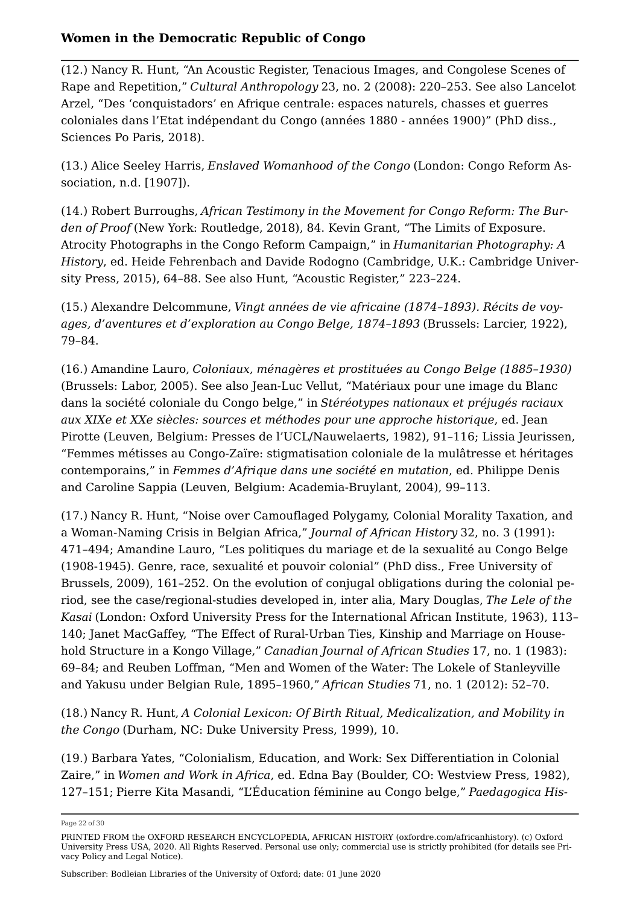<span id="page-21-0"></span>([12.](#page-3-1)) Nancy R. Hunt, "An Acoustic Register, Tenacious Images, and Congolese Scenes of Rape and Repetition," *Cultural Anthropology* 23, no. 2 (2008): 220–253. See also Lancelot Arzel, "Des 'conquistadors' en Afrique centrale: espaces naturels, chasses et guerres coloniales dans l'Etat indépendant du Congo (années 1880 - années 1900)" (PhD diss., Sciences Po Paris, 2018).

<span id="page-21-1"></span>([13.](#page-3-2)) Alice Seeley Harris, *Enslaved Womanhood of the Congo* (London: Congo Reform Association, n.d. [1907]).

<span id="page-21-2"></span>([14.](#page-3-3)) Robert Burroughs, *African Testimony in the Movement for Congo Reform: The Burden of Proof* (New York: Routledge, 2018), 84. Kevin Grant, "The Limits of Exposure. Atrocity Photographs in the Congo Reform Campaign," in *Humanitarian Photography: A History*, ed. Heide Fehrenbach and Davide Rodogno (Cambridge, U.K.: Cambridge University Press, 2015), 64–88. See also Hunt, "Acoustic Register," 223–224.

<span id="page-21-3"></span>([15.](#page-4-0)) Alexandre Delcommune, *Vingt années de vie africaine (1874–1893). Récits de voyages, d'aventures et d'exploration au Congo Belge, 1874–1893* (Brussels: Larcier, 1922), 79–84.

<span id="page-21-4"></span>([16.](#page-4-1)) Amandine Lauro, *Coloniaux, ménagères et prostituées au Congo Belge (1885–1930)* (Brussels: Labor, 2005). See also Jean-Luc Vellut, "Matériaux pour une image du Blanc dans la société coloniale du Congo belge," in *Stéréotypes nationaux et préjugés raciaux aux XIXe et XXe siècles: sources et méthodes pour une approche historique*, ed. Jean Pirotte (Leuven, Belgium: Presses de l'UCL/Nauwelaerts, 1982), 91–116; Lissia Jeurissen, "Femmes métisses au Congo-Zaïre: stigmatisation coloniale de la mulâtresse et héritages contemporains," in *Femmes d'Afrique dans une société en mutation*, ed. Philippe Denis and Caroline Sappia (Leuven, Belgium: Academia-Bruylant, 2004), 99–113.

<span id="page-21-5"></span>([17.](#page-4-2)) [Nancy R. Hunt, "Noise over Camouflaged Polygamy, Colonial Morality Taxation, and](https://oxfordre.com/view/10.1093/acrefore/9780190277734.001.0001/acrefore-9780190277734-e-544#acrefore-9780190277734-e-544-bibItem-0005) [a Woman-Naming Crisis in Belgian Africa,"](https://oxfordre.com/view/10.1093/acrefore/9780190277734.001.0001/acrefore-9780190277734-e-544#acrefore-9780190277734-e-544-bibItem-0005) *[Journal of African History](https://oxfordre.com/view/10.1093/acrefore/9780190277734.001.0001/acrefore-9780190277734-e-544#acrefore-9780190277734-e-544-bibItem-0005)* [32, no. 3 \(1991\):](https://oxfordre.com/view/10.1093/acrefore/9780190277734.001.0001/acrefore-9780190277734-e-544#acrefore-9780190277734-e-544-bibItem-0005) [471–494](https://oxfordre.com/view/10.1093/acrefore/9780190277734.001.0001/acrefore-9780190277734-e-544#acrefore-9780190277734-e-544-bibItem-0005); Amandine Lauro, "Les politiques du mariage et de la sexualité au Congo Belge (1908-1945). Genre, race, sexualité et pouvoir colonial" (PhD diss., Free University of Brussels, 2009), 161–252. On the evolution of conjugal obligations during the colonial period, see the case/regional-studies developed in, inter alia, Mary Douglas, *The Lele of the Kasai* (London: Oxford University Press for the International African Institute, 1963), 113– 140; Janet MacGaffey, "The Effect of Rural-Urban Ties, Kinship and Marriage on Household Structure in a Kongo Village," *Canadian Journal of African Studies* 17, no. 1 (1983): 69–84; and Reuben Loffman, "Men and Women of the Water: The Lokele of Stanleyville and Yakusu under Belgian Rule, 1895–1960," *African Studies* 71, no. 1 (2012): 52–70.

<span id="page-21-6"></span>([18.](#page-5-0)) [Nancy R. Hunt,](https://oxfordre.com/view/10.1093/acrefore/9780190277734.001.0001/acrefore-9780190277734-e-544#acrefore-9780190277734-e-544-bibItem-0004) *[A Colonial Lexicon: Of Birth Ritual, Medicalization, and Mobility in](https://oxfordre.com/view/10.1093/acrefore/9780190277734.001.0001/acrefore-9780190277734-e-544#acrefore-9780190277734-e-544-bibItem-0004) [the Congo](https://oxfordre.com/view/10.1093/acrefore/9780190277734.001.0001/acrefore-9780190277734-e-544#acrefore-9780190277734-e-544-bibItem-0004)* [\(Durham, NC: Duke University Press, 1999\), 10.](https://oxfordre.com/view/10.1093/acrefore/9780190277734.001.0001/acrefore-9780190277734-e-544#acrefore-9780190277734-e-544-bibItem-0004)

<span id="page-21-7"></span>([19.](#page-5-1)) Barbara Yates, "Colonialism, Education, and Work: Sex Differentiation in Colonial Zaire," in *Women and Work in Africa*, ed. Edna Bay (Boulder, CO: Westview Press, 1982), 127–151; [Pierre Kita Masandi, "L'Éducation féminine au Congo belge,"](https://oxfordre.com/view/10.1093/acrefore/9780190277734.001.0001/acrefore-9780190277734-e-544#acrefore-9780190277734-e-544-bibItem-0007) *[Paedagogica His](https://oxfordre.com/view/10.1093/acrefore/9780190277734.001.0001/acrefore-9780190277734-e-544#acrefore-9780190277734-e-544-bibItem-0007)*

Page 22 of 30

PRINTED FROM the OXFORD RESEARCH ENCYCLOPEDIA, AFRICAN HISTORY (oxfordre.com/africanhistory). (c) Oxford University Press USA, 2020. All Rights Reserved. Personal use only; commercial use is strictly prohibited (for details see [Pri](https://global.oup.com/privacy)[vacy Policy](https://global.oup.com/privacy) and [Legal Notice](https://oxfordre.com/page/legal-notice)).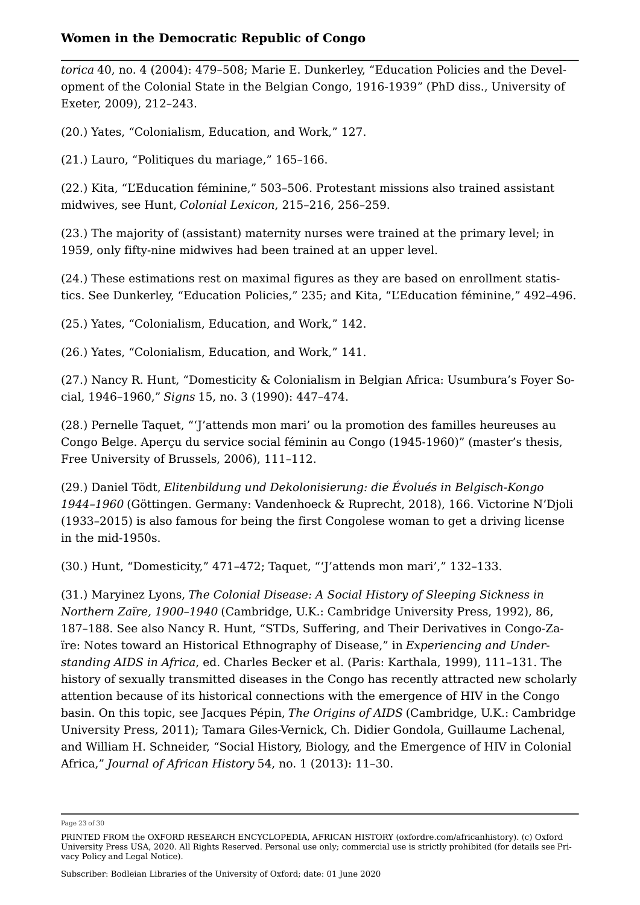*[torica](https://oxfordre.com/view/10.1093/acrefore/9780190277734.001.0001/acrefore-9780190277734-e-544#acrefore-9780190277734-e-544-bibItem-0007)* [40, no. 4 \(2004\): 479–508](https://oxfordre.com/view/10.1093/acrefore/9780190277734.001.0001/acrefore-9780190277734-e-544#acrefore-9780190277734-e-544-bibItem-0007); Marie E. Dunkerley, "Education Policies and the Development of the Colonial State in the Belgian Congo, 1916-1939" (PhD diss., University of Exeter, 2009), 212–243.

<span id="page-22-0"></span>([20.](#page-5-2)) Yates, "Colonialism, Education, and Work," 127.

<span id="page-22-1"></span>([21.](#page-6-0)) Lauro, "Politiques du mariage," 165–166.

<span id="page-22-2"></span>([22.](#page-6-1)) Kita, "L'Education féminine," 503–506. Protestant missions also trained assistant midwives, see Hunt, *Colonial Lexicon*, 215–216, 256–259.

<span id="page-22-3"></span>([23.](#page-6-2)) The majority of (assistant) maternity nurses were trained at the primary level; in 1959, only fifty-nine midwives had been trained at an upper level.

<span id="page-22-4"></span>([24.](#page-6-3)) These estimations rest on maximal figures as they are based on enrollment statistics. See Dunkerley, "Education Policies," 235; and Kita, "L'Education féminine," 492–496.

<span id="page-22-5"></span>([25.](#page-7-0)) Yates, "Colonialism, Education, and Work," 142.

<span id="page-22-6"></span>([26.](#page-7-1)) Yates, "Colonialism, Education, and Work," 141.

<span id="page-22-7"></span>([27.](#page-7-2)) Nancy R. Hunt, "Domesticity & Colonialism in Belgian Africa: Usumbura's Foyer Social, 1946–1960," *Signs* 15, no. 3 (1990): 447–474.

<span id="page-22-8"></span>([28.](#page-7-3)) Pernelle Taquet, "'J'attends mon mari' ou la promotion des familles heureuses au Congo Belge. Aperçu du service social féminin au Congo (1945-1960)" (master's thesis, Free University of Brussels, 2006), 111–112.

<span id="page-22-9"></span>([29.](#page-7-4)) Daniel Tödt, *Elitenbildung und Dekolonisierung: die Évolués in Belgisch-Kongo 1944–1960* (Göttingen. Germany: Vandenhoeck & Ruprecht, 2018), 166. Victorine N'Djoli (1933–2015) is also famous for being the first Congolese woman to get a driving license in the mid-1950s.

<span id="page-22-10"></span>([30.](#page-7-5)) Hunt, "Domesticity," 471–472; Taquet, "'J'attends mon mari'," 132–133.

<span id="page-22-11"></span>([31.](#page-7-6)) Maryinez Lyons, *The Colonial Disease: A Social History of Sleeping Sickness in Northern Zaïre, 1900–1940* (Cambridge, U.K.: Cambridge University Press, 1992), 86, 187–188. See also Nancy R. Hunt, "STDs, Suffering, and Their Derivatives in Congo-Zaïre: Notes toward an Historical Ethnography of Disease," in *Experiencing and Understanding AIDS in Africa*, ed. Charles Becker et al. (Paris: Karthala, 1999), 111–131. The history of sexually transmitted diseases in the Congo has recently attracted new scholarly attention because of its historical connections with the emergence of HIV in the Congo basin. On this topic, see Jacques Pépin, *The Origins of AIDS* (Cambridge, U.K.: Cambridge University Press, 2011); Tamara Giles-Vernick, Ch. Didier Gondola, Guillaume Lachenal, and William H. Schneider, "Social History, Biology, and the Emergence of HIV in Colonial Africa," *Journal of African History* 54, no. 1 (2013): 11–30.

Page 23 of 30

PRINTED FROM the OXFORD RESEARCH ENCYCLOPEDIA, AFRICAN HISTORY (oxfordre.com/africanhistory). (c) Oxford University Press USA, 2020. All Rights Reserved. Personal use only; commercial use is strictly prohibited (for details see [Pri](https://global.oup.com/privacy)[vacy Policy](https://global.oup.com/privacy) and [Legal Notice](https://oxfordre.com/page/legal-notice)).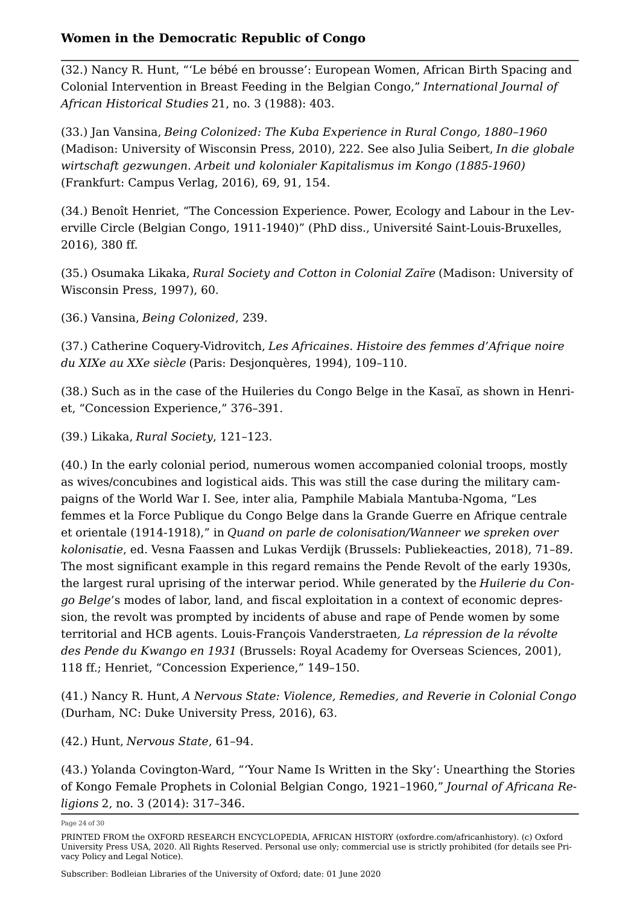<span id="page-23-0"></span>([32.](#page-7-7)) Nancy R. Hunt, "'Le bébé en brousse': European Women, African Birth Spacing and Colonial Intervention in Breast Feeding in the Belgian Congo," *International Journal of African Historical Studies* 21, no. 3 (1988): 403.

<span id="page-23-1"></span>([33.](#page-8-0)) Jan Vansina, *Being Colonized: The Kuba Experience in Rural Congo, 1880–1960* (Madison: University of Wisconsin Press, 2010), 222. See also Julia Seibert, *In die globale wirtschaft gezwungen. Arbeit und kolonialer Kapitalismus im Kongo (1885-1960)* (Frankfurt: Campus Verlag, 2016), 69, 91, 154.

<span id="page-23-2"></span>([34.](#page-8-1)) Benoît Henriet, "The Concession Experience. Power, Ecology and Labour in the Leverville Circle (Belgian Congo, 1911-1940)" (PhD diss., Université Saint-Louis-Bruxelles, 2016), 380 ff.

<span id="page-23-3"></span>([35.](#page-8-2)) Osumaka Likaka, *Rural Society and Cotton in Colonial Zaïre* (Madison: University of Wisconsin Press, 1997), 60.

<span id="page-23-4"></span>([36.](#page-8-3)) Vansina, *Being Colonized*, 239.

<span id="page-23-5"></span>([37.](#page-9-0)) Catherine Coquery-Vidrovitch, *Les Africaines. Histoire des femmes d'Afrique noire du XIXe au XXe siècle* (Paris: Desjonquères, 1994), 109–110.

<span id="page-23-6"></span>([38.](#page-9-1)) Such as in the case of the Huileries du Congo Belge in the Kasaï, as shown in Henriet, "Concession Experience," 376–391.

<span id="page-23-7"></span>([39.](#page-9-2)) Likaka, *Rural Society*, 121–123.

<span id="page-23-8"></span>([40.](#page-9-3)) In the early colonial period, numerous women accompanied colonial troops, mostly as wives/concubines and logistical aids. This was still the case during the military campaigns of the World War I. See, inter alia, Pamphile Mabiala Mantuba-Ngoma, "Les femmes et la Force Publique du Congo Belge dans la Grande Guerre en Afrique centrale et orientale (1914-1918)," in *Quand on parle de colonisation/Wanneer we spreken over kolonisatie*, ed. Vesna Faassen and Lukas Verdijk (Brussels: Publiekeacties, 2018), 71–89. The most significant example in this regard remains the Pende Revolt of the early 1930s, the largest rural uprising of the interwar period. While generated by the *Huilerie du Congo Belge*'s modes of labor, land, and fiscal exploitation in a context of economic depression, the revolt was prompted by incidents of abuse and rape of Pende women by some territorial and HCB agents. Louis-François Vanderstraeten*, La répression de la révolte des Pende du Kwango en 1931* (Brussels: Royal Academy for Overseas Sciences, 2001), 118 ff.; Henriet, "Concession Experience," 149–150.

<span id="page-23-9"></span>([41.](#page-9-4)) Nancy R. Hunt, *A Nervous State: Violence, Remedies, and Reverie in Colonial Congo* (Durham, NC: Duke University Press, 2016), 63.

<span id="page-23-10"></span>([42.](#page-9-5)) Hunt, *Nervous State*, 61–94.

<span id="page-23-11"></span>([43.](#page-10-0)) Yolanda Covington-Ward, "'Your Name Is Written in the Sky': Unearthing the Stories of Kongo Female Prophets in Colonial Belgian Congo, 1921–1960," *Journal of Africana Religions* 2, no. 3 (2014): 317–346.

Page 24 of 30

PRINTED FROM the OXFORD RESEARCH ENCYCLOPEDIA, AFRICAN HISTORY (oxfordre.com/africanhistory). (c) Oxford University Press USA, 2020. All Rights Reserved. Personal use only; commercial use is strictly prohibited (for details see [Pri](https://global.oup.com/privacy)[vacy Policy](https://global.oup.com/privacy) and [Legal Notice](https://oxfordre.com/page/legal-notice)).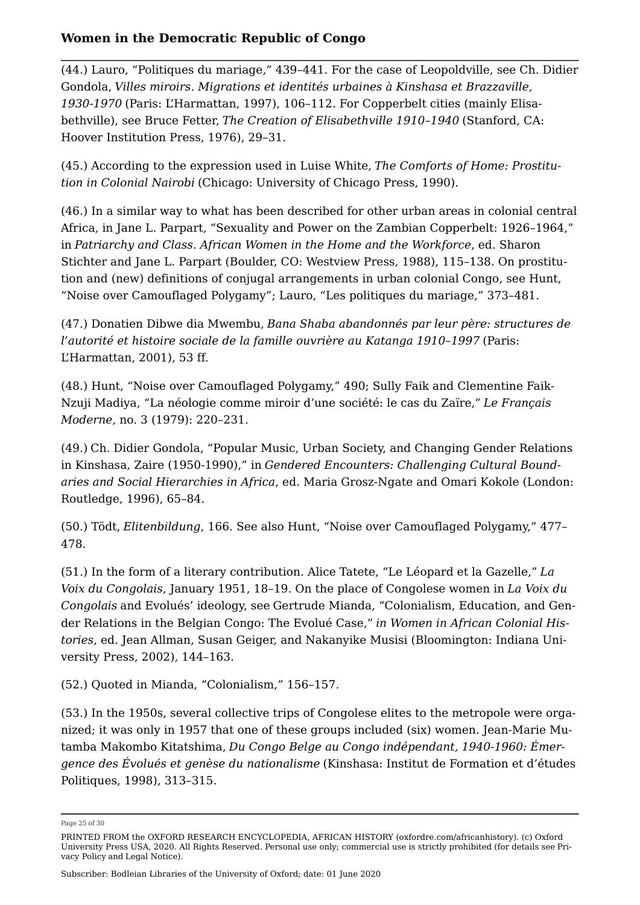<span id="page-24-0"></span>([44.](#page-10-1)) Lauro, "Politiques du mariage," 439–441. For the case of Leopoldville, see Ch. Didier Gondola, *Villes miroirs. Migrations et identités urbaines à Kinshasa et Brazzaville, 1930-1970* (Paris: L'Harmattan, 1997), 106–112. For Copperbelt cities (mainly Elisabethville), see Bruce Fetter, *The Creation of Elisabethville 1910–1940* (Stanford, CA: Hoover Institution Press, 1976), 29–31.

<span id="page-24-1"></span>([45.](#page-10-2)) According to the expression used in Luise White, *The Comforts of Home: Prostitution in Colonial Nairobi* (Chicago: University of Chicago Press, 1990).

<span id="page-24-2"></span>([46.](#page-10-3)) In a similar way to what has been described for other urban areas in colonial central Africa, in Jane L. Parpart, "Sexuality and Power on the Zambian Copperbelt: 1926–1964," in *Patriarchy and Class. African Women in the Home and the Workforce*, ed. Sharon Stichter and Jane L. Parpart (Boulder, CO: Westview Press, 1988), 115–138. On prostitution and (new) definitions of conjugal arrangements in urban colonial Congo, see Hunt, "Noise over Camouflaged Polygamy"; Lauro, "Les politiques du mariage," 373–481.

<span id="page-24-3"></span>([47.](#page-11-0)) Donatien Dibwe dia Mwembu, *Bana Shaba abandonnés par leur père: structures de l'autorité et histoire sociale de la famille ouvrière au Katanga 1910–1997* (Paris: L'Harmattan, 2001), 53 ff.

<span id="page-24-4"></span>([48.](#page-11-1)) Hunt, "Noise over Camouflaged Polygamy," 490; Sully Faik and Clementine Faik-Nzuji Madiya, "La néologie comme miroir d'une société: le cas du Zaïre," *Le Français Moderne*, no. 3 (1979): 220–231.

<span id="page-24-5"></span>([49.](#page-11-2)) [Ch. Didier Gondola, "Popular Music, Urban Society, and Changing Gender Relations](https://oxfordre.com/view/10.1093/acrefore/9780190277734.001.0001/acrefore-9780190277734-e-544#acrefore-9780190277734-e-544-bibItem-0003)  [in Kinshasa, Zaire \(1950-1990\)," in](https://oxfordre.com/view/10.1093/acrefore/9780190277734.001.0001/acrefore-9780190277734-e-544#acrefore-9780190277734-e-544-bibItem-0003) *[Gendered Encounters: Challenging Cultural Bound](https://oxfordre.com/view/10.1093/acrefore/9780190277734.001.0001/acrefore-9780190277734-e-544#acrefore-9780190277734-e-544-bibItem-0003)[aries and Social Hierarchies in Africa](https://oxfordre.com/view/10.1093/acrefore/9780190277734.001.0001/acrefore-9780190277734-e-544#acrefore-9780190277734-e-544-bibItem-0003)*[, ed. Maria Grosz-Ngate and Omari Kokole \(London:](https://oxfordre.com/view/10.1093/acrefore/9780190277734.001.0001/acrefore-9780190277734-e-544#acrefore-9780190277734-e-544-bibItem-0003)  [Routledge, 1996\), 65–84](https://oxfordre.com/view/10.1093/acrefore/9780190277734.001.0001/acrefore-9780190277734-e-544#acrefore-9780190277734-e-544-bibItem-0003).

<span id="page-24-6"></span>([50.](#page-11-3)) Tödt, *Elitenbildung*, 166. See also Hunt, "Noise over Camouflaged Polygamy," 477– 478.

<span id="page-24-7"></span>([51.](#page-11-4)) In the form of a literary contribution. Alice Tatete, "Le Léopard et la Gazelle," *La Voix du Congolais*, January 1951, 18–19. On the place of Congolese women in *La Voix du Congolais* and Evolués' ideology, see [Gertrude Mianda, "Colonialism, Education, and Gen](https://oxfordre.com/view/10.1093/acrefore/9780190277734.001.0001/acrefore-9780190277734-e-544#acrefore-9780190277734-e-544-bibItem-0008)[der Relations in the Belgian Congo: The Evolué Case,"](https://oxfordre.com/view/10.1093/acrefore/9780190277734.001.0001/acrefore-9780190277734-e-544#acrefore-9780190277734-e-544-bibItem-0008) *[in Women in African Colonial His](https://oxfordre.com/view/10.1093/acrefore/9780190277734.001.0001/acrefore-9780190277734-e-544#acrefore-9780190277734-e-544-bibItem-0008)[tories](https://oxfordre.com/view/10.1093/acrefore/9780190277734.001.0001/acrefore-9780190277734-e-544#acrefore-9780190277734-e-544-bibItem-0008)*[, ed. Jean Allman, Susan Geiger, and Nakanyike Musisi \(Bloomington: Indiana Uni](https://oxfordre.com/view/10.1093/acrefore/9780190277734.001.0001/acrefore-9780190277734-e-544#acrefore-9780190277734-e-544-bibItem-0008)[versity Press, 2002\), 144–163](https://oxfordre.com/view/10.1093/acrefore/9780190277734.001.0001/acrefore-9780190277734-e-544#acrefore-9780190277734-e-544-bibItem-0008).

<span id="page-24-8"></span>([52.](#page-12-0)) Quoted in Mianda, "Colonialism," 156–157.

<span id="page-24-9"></span>([53.](#page-12-1)) In the 1950s, several collective trips of Congolese elites to the metropole were organized; it was only in 1957 that one of these groups included (six) women. Jean‐Marie Mutamba Makombo Kitatshima, *Du Congo Belge au Congo indépendant, 1940-1960: Émergence des Évolués et genèse du nationalisme* (Kinshasa: Institut de Formation et d'études Politiques, 1998), 313–315.

Page 25 of 30

PRINTED FROM the OXFORD RESEARCH ENCYCLOPEDIA, AFRICAN HISTORY (oxfordre.com/africanhistory). (c) Oxford University Press USA, 2020. All Rights Reserved. Personal use only; commercial use is strictly prohibited (for details see [Pri](https://global.oup.com/privacy)[vacy Policy](https://global.oup.com/privacy) and [Legal Notice](https://oxfordre.com/page/legal-notice)).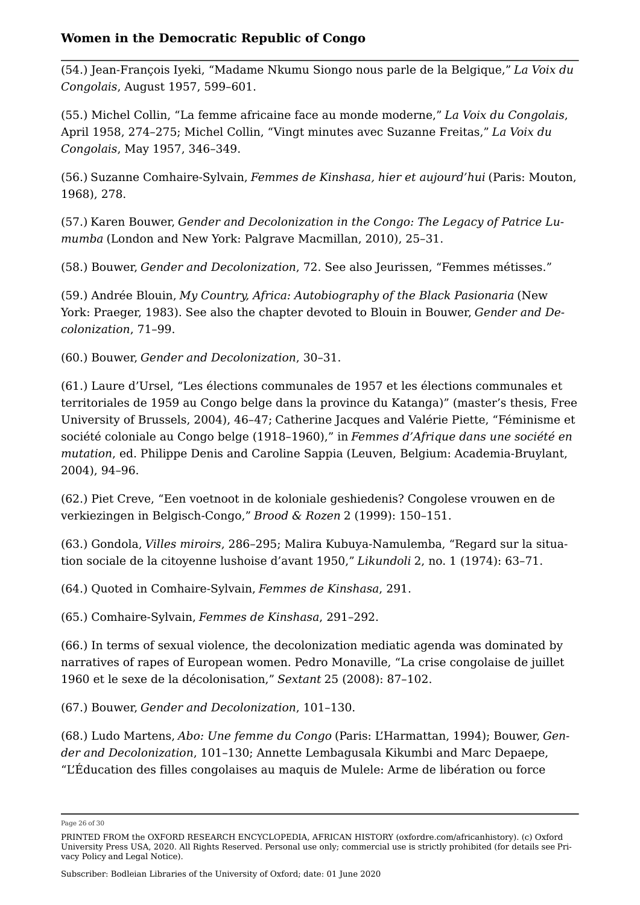<span id="page-25-0"></span>([54.](#page-12-2)) Jean-François Iyeki, "Madame Nkumu Siongo nous parle de la Belgique," *La Voix du Congolais*, August 1957, 599–601.

<span id="page-25-1"></span>([55.](#page-12-3)) Michel Collin, "La femme africaine face au monde moderne," *La Voix du Congolais*, April 1958, 274–275; Michel Collin, "Vingt minutes avec Suzanne Freitas," *La Voix du Congolais*, May 1957, 346–349.

<span id="page-25-2"></span>([56.](#page-12-4)) [Suzanne Comhaire-Sylvain,](https://oxfordre.com/view/10.1093/acrefore/9780190277734.001.0001/acrefore-9780190277734-e-544#acrefore-9780190277734-e-544-bibItem-0002) *[Femmes de Kinshasa, hier et aujourd'hui](https://oxfordre.com/view/10.1093/acrefore/9780190277734.001.0001/acrefore-9780190277734-e-544#acrefore-9780190277734-e-544-bibItem-0002)* [\(Paris: Mouton,](https://oxfordre.com/view/10.1093/acrefore/9780190277734.001.0001/acrefore-9780190277734-e-544#acrefore-9780190277734-e-544-bibItem-0002) [1968\), 278](https://oxfordre.com/view/10.1093/acrefore/9780190277734.001.0001/acrefore-9780190277734-e-544#acrefore-9780190277734-e-544-bibItem-0002).

<span id="page-25-3"></span>([57.](#page-12-5)) [Karen Bouwer,](https://oxfordre.com/view/10.1093/acrefore/9780190277734.001.0001/acrefore-9780190277734-e-544#acrefore-9780190277734-e-544-bibItem-0001) *[Gender and Decolonization in the Congo: The Legacy of Patrice Lu](https://oxfordre.com/view/10.1093/acrefore/9780190277734.001.0001/acrefore-9780190277734-e-544#acrefore-9780190277734-e-544-bibItem-0001)[mumba](https://oxfordre.com/view/10.1093/acrefore/9780190277734.001.0001/acrefore-9780190277734-e-544#acrefore-9780190277734-e-544-bibItem-0001)* [\(London and New York: Palgrave Macmillan, 2010\), 25–31](https://oxfordre.com/view/10.1093/acrefore/9780190277734.001.0001/acrefore-9780190277734-e-544#acrefore-9780190277734-e-544-bibItem-0001).

<span id="page-25-4"></span>([58.](#page-13-0)) Bouwer, *Gender and Decolonization*, 72. See also Jeurissen, "Femmes métisses."

<span id="page-25-5"></span>([59.](#page-13-1)) Andrée Blouin, *My Country, Africa: Autobiography of the Black Pasionaria* (New York: Praeger, 1983). See also the chapter devoted to Blouin in Bouwer, *Gender and Decolonization*, 71–99.

<span id="page-25-6"></span>([60.](#page-13-2)) Bouwer, *Gender and Decolonization*, 30–31.

<span id="page-25-7"></span>([61.](#page-13-3)) Laure d'Ursel, "Les élections communales de 1957 et les élections communales et territoriales de 1959 au Congo belge dans la province du Katanga)" (master's thesis, Free University of Brussels, 2004), 46–47; [Catherine Jacques and Valérie Piette, "Féminisme et](https://oxfordre.com/view/10.1093/acrefore/9780190277734.001.0001/acrefore-9780190277734-e-544#acrefore-9780190277734-e-544-bibItem-0006) [société coloniale au Congo belge \(1918–1960\)," in](https://oxfordre.com/view/10.1093/acrefore/9780190277734.001.0001/acrefore-9780190277734-e-544#acrefore-9780190277734-e-544-bibItem-0006) *[Femmes d'Afrique dans une société en](https://oxfordre.com/view/10.1093/acrefore/9780190277734.001.0001/acrefore-9780190277734-e-544#acrefore-9780190277734-e-544-bibItem-0006)  [mutation](https://oxfordre.com/view/10.1093/acrefore/9780190277734.001.0001/acrefore-9780190277734-e-544#acrefore-9780190277734-e-544-bibItem-0006)*[, ed. Philippe Denis and Caroline Sappia \(Leuven, Belgium: Academia-Bruylant,](https://oxfordre.com/view/10.1093/acrefore/9780190277734.001.0001/acrefore-9780190277734-e-544#acrefore-9780190277734-e-544-bibItem-0006) [2004\), 94–96](https://oxfordre.com/view/10.1093/acrefore/9780190277734.001.0001/acrefore-9780190277734-e-544#acrefore-9780190277734-e-544-bibItem-0006).

<span id="page-25-8"></span>([62.](#page-13-4)) Piet Creve, "Een voetnoot in de koloniale geshiedenis? Congolese vrouwen en de verkiezingen in Belgisch-Congo," *Brood & Rozen* 2 (1999): 150–151.

<span id="page-25-9"></span>([63.](#page-13-5)) Gondola, *Villes miroirs*, 286–295; Malira Kubuya-Namulemba, "Regard sur la situation sociale de la citoyenne lushoise d'avant 1950," *Likundoli* 2, no. 1 (1974): 63–71.

<span id="page-25-10"></span>([64.](#page-14-0)) Quoted in Comhaire-Sylvain, *Femmes de Kinshasa*, 291.

<span id="page-25-11"></span>([65.](#page-14-1)) Comhaire-Sylvain, *Femmes de Kinshasa*, 291–292.

<span id="page-25-12"></span>([66.](#page-14-2)) In terms of sexual violence, the decolonization mediatic agenda was dominated by narratives of rapes of European women. Pedro Monaville, "La crise congolaise de juillet 1960 et le sexe de la décolonisation," *Sextant* 25 (2008): 87–102.

<span id="page-25-13"></span>([67.](#page-14-3)) Bouwer, *Gender and Decolonization*, 101–130.

<span id="page-25-14"></span>([68.](#page-14-4)) Ludo Martens, *Abo: Une femme du Congo* (Paris: L'Harmattan, 1994); Bouwer, *Gender and Decolonization*, 101–130; Annette Lembagusala Kikumbi and Marc Depaepe, "L'Éducation des filles congolaises au maquis de Mulele: Arme de libération ou force

Page 26 of 30

PRINTED FROM the OXFORD RESEARCH ENCYCLOPEDIA, AFRICAN HISTORY (oxfordre.com/africanhistory). (c) Oxford University Press USA, 2020. All Rights Reserved. Personal use only; commercial use is strictly prohibited (for details see [Pri](https://global.oup.com/privacy)[vacy Policy](https://global.oup.com/privacy) and [Legal Notice](https://oxfordre.com/page/legal-notice)).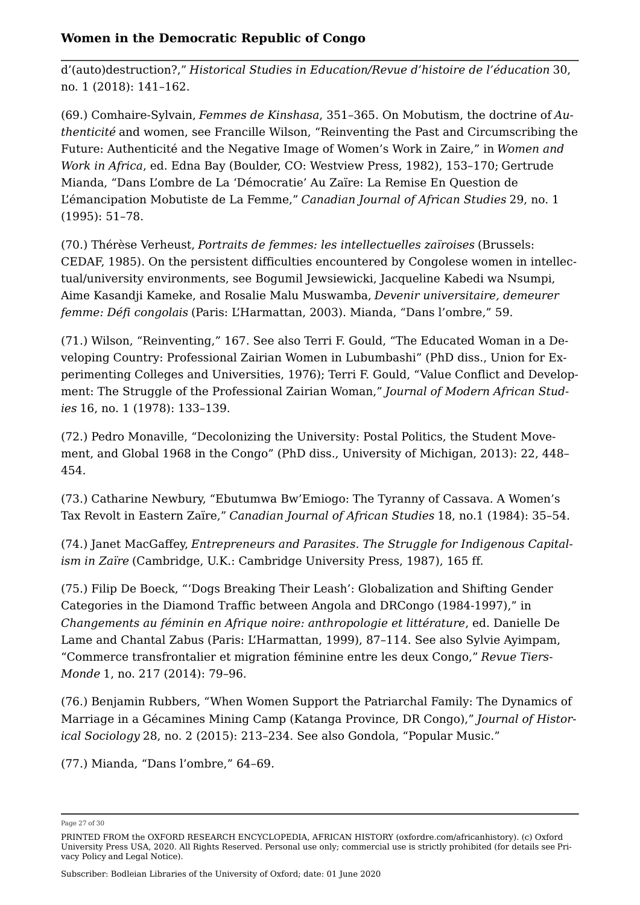d'(auto)destruction?," *Historical Studies in Education/Revue d'histoire de l'éducation* 30, no. 1 (2018): 141–162.

<span id="page-26-0"></span>([69.](#page-15-0)) Comhaire-Sylvain, *Femmes de Kinshasa*, 351–365. On Mobutism, the doctrine of *Authenticité* and women, see Francille Wilson, "Reinventing the Past and Circumscribing the Future: Authenticité and the Negative Image of Women's Work in Zaire," in *Women and Work in Africa*, ed. Edna Bay (Boulder, CO: Westview Press, 1982), 153–170; [Gertrude](https://oxfordre.com/view/10.1093/acrefore/9780190277734.001.0001/acrefore-9780190277734-e-544#acrefore-9780190277734-e-544-bibItem-0009) [Mianda, "Dans L'ombre de La 'Démocratie' Au Zaïre: La Remise En Question de](https://oxfordre.com/view/10.1093/acrefore/9780190277734.001.0001/acrefore-9780190277734-e-544#acrefore-9780190277734-e-544-bibItem-0009) [L'émancipation Mobutiste de La Femme,"](https://oxfordre.com/view/10.1093/acrefore/9780190277734.001.0001/acrefore-9780190277734-e-544#acrefore-9780190277734-e-544-bibItem-0009) *[Canadian Journal of African Studies](https://oxfordre.com/view/10.1093/acrefore/9780190277734.001.0001/acrefore-9780190277734-e-544#acrefore-9780190277734-e-544-bibItem-0009)* [29, no. 1](https://oxfordre.com/view/10.1093/acrefore/9780190277734.001.0001/acrefore-9780190277734-e-544#acrefore-9780190277734-e-544-bibItem-0009) [\(1995\): 51–78](https://oxfordre.com/view/10.1093/acrefore/9780190277734.001.0001/acrefore-9780190277734-e-544#acrefore-9780190277734-e-544-bibItem-0009).

<span id="page-26-1"></span>([70.](#page-15-1)) Thérèse Verheust, *Portraits de femmes: les intellectuelles zaïroises* (Brussels: CEDAF, 1985). On the persistent difficulties encountered by Congolese women in intellectual/university environments, see Bogumil Jewsiewicki, Jacqueline Kabedi wa Nsumpi, Aime Kasandji Kameke, and Rosalie Malu Muswamba, *Devenir universitaire, demeurer femme: Défi congolais* (Paris: L'Harmattan, 2003). Mianda, "Dans l'ombre," 59.

<span id="page-26-2"></span>([71.](#page-15-2)) Wilson, "Reinventing," 167. See also Terri F. Gould, "The Educated Woman in a Developing Country: Professional Zairian Women in Lubumbashi" (PhD diss., Union for Experimenting Colleges and Universities, 1976); Terri F. Gould, "Value Conflict and Development: The Struggle of the Professional Zairian Woman," *Journal of Modern African Studies* 16, no. 1 (1978): 133–139.

<span id="page-26-3"></span>([72.](#page-15-3)) Pedro Monaville, "Decolonizing the University: Postal Politics, the Student Movement, and Global 1968 in the Congo" (PhD diss., University of Michigan, 2013): 22, 448– 454.

<span id="page-26-4"></span>([73.](#page-15-4)) Catharine Newbury, "Ebutumwa Bw'Emiogo: The Tyranny of Cassava. A Women's Tax Revolt in Eastern Zaïre," *Canadian Journal of African Studies* 18, no.1 (1984): 35–54.

<span id="page-26-5"></span>([74.](#page-15-5)) Janet MacGaffey, *Entrepreneurs and Parasites. The Struggle for Indigenous Capitalism in Zaïre* (Cambridge, U.K.: Cambridge University Press, 1987), 165 ff.

<span id="page-26-6"></span>([75.](#page-15-6)) Filip De Boeck, "'Dogs Breaking Their Leash': Globalization and Shifting Gender Categories in the Diamond Traffic between Angola and DRCongo (1984-1997)," in *Changements au féminin en Afrique noire: anthropologie et littérature*, ed. Danielle De Lame and Chantal Zabus (Paris: L'Harmattan, 1999), 87–114. See also Sylvie Ayimpam, "Commerce transfrontalier et migration féminine entre les deux Congo," *Revue Tiers-Monde* 1, no. 217 (2014): 79–96.

<span id="page-26-7"></span>([76.](#page-16-0)) Benjamin Rubbers, "When Women Support the Patriarchal Family: The Dynamics of Marriage in a Gécamines Mining Camp (Katanga Province, DR Congo)," *Journal of Historical Sociology* 28, no. 2 (2015): 213–234. See also Gondola, "Popular Music."

<span id="page-26-8"></span>([77.](#page-16-1)) Mianda, "Dans l'ombre," 64–69.

Page 27 of 30

PRINTED FROM the OXFORD RESEARCH ENCYCLOPEDIA, AFRICAN HISTORY (oxfordre.com/africanhistory). (c) Oxford University Press USA, 2020. All Rights Reserved. Personal use only; commercial use is strictly prohibited (for details see [Pri](https://global.oup.com/privacy)[vacy Policy](https://global.oup.com/privacy) and [Legal Notice](https://oxfordre.com/page/legal-notice)).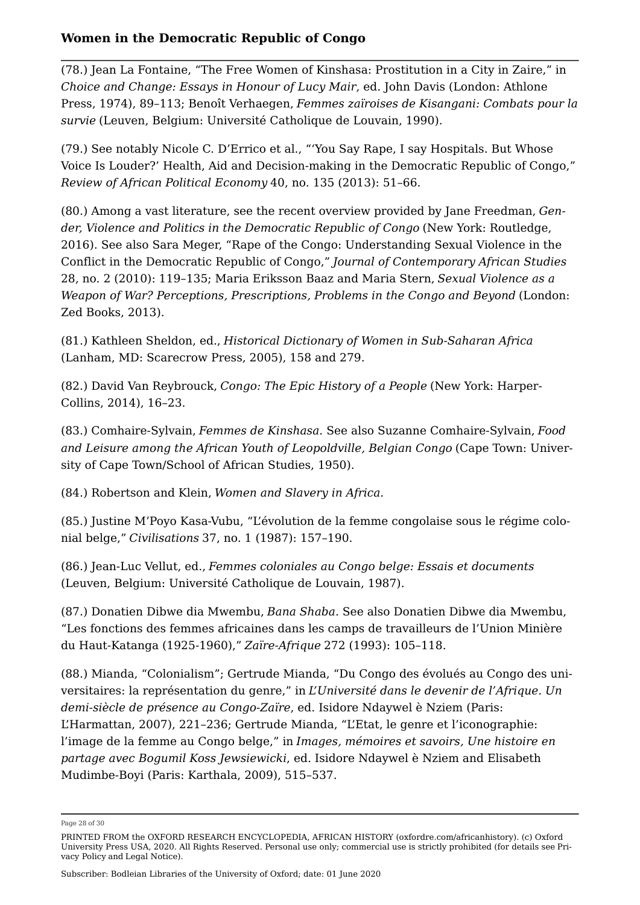<span id="page-27-0"></span>([78.](#page-16-2)) Jean La Fontaine, "The Free Women of Kinshasa: Prostitution in a City in Zaire," in *Choice and Change: Essays in Honour of Lucy Mair*, ed. John Davis (London: Athlone Press, 1974), 89–113; Benoît Verhaegen, *Femmes zaïroises de Kisangani: Combats pour la survie* (Leuven, Belgium: Université Catholique de Louvain, 1990).

<span id="page-27-1"></span>([79.](#page-16-3)) See notably Nicole C. D'Errico et al., "'You Say Rape, I say Hospitals. But Whose Voice Is Louder?' Health, Aid and Decision-making in the Democratic Republic of Congo," *Review of African Political Economy* 40, no. 135 (2013): 51–66.

<span id="page-27-2"></span>([80.](#page-16-4)) Among a vast literature, see the recent overview provided by Jane Freedman, *Gender, Violence and Politics in the Democratic Republic of Congo* (New York: Routledge, 2016). See also Sara Meger, "Rape of the Congo: Understanding Sexual Violence in the Conflict in the Democratic Republic of Congo," *Journal of Contemporary African Studies* 28, no. 2 (2010): 119–135; Maria Eriksson Baaz and Maria Stern, *Sexual Violence as a Weapon of War? Perceptions, Prescriptions, Problems in the Congo and Beyond* (London: Zed Books, 2013).

<span id="page-27-3"></span>([81.](#page-16-5)) Kathleen Sheldon, ed., *Historical Dictionary of Women in Sub-Saharan Africa* (Lanham, MD: Scarecrow Press, 2005), 158 and 279.

<span id="page-27-4"></span>([82.](#page-16-6)) David Van Reybrouck, *Congo: The Epic History of a People* (New York: Harper-Collins, 2014), 16–23.

<span id="page-27-5"></span>([83.](#page-16-7)) Comhaire-Sylvain, *Femmes de Kinshasa*. See also Suzanne Comhaire-Sylvain, *Food and Leisure among the African Youth of Leopoldville, Belgian Congo* (Cape Town: University of Cape Town/School of African Studies, 1950).

<span id="page-27-6"></span>([84.](#page-17-0)) Robertson and Klein, *Women and Slavery in Africa*.

<span id="page-27-7"></span>([85.](#page-17-1)) Justine M'Poyo Kasa-Vubu, "L'évolution de la femme congolaise sous le régime colonial belge," *Civilisations* 37, no. 1 (1987): 157–190.

<span id="page-27-8"></span>([86.](#page-17-2)) Jean-Luc Vellut, ed., *Femmes coloniales au Congo belge: Essais et documents* (Leuven, Belgium: Université Catholique de Louvain, 1987).

<span id="page-27-9"></span>([87.](#page-17-3)) Donatien Dibwe dia Mwembu, *Bana Shaba*. See also Donatien Dibwe dia Mwembu, "Les fonctions des femmes africaines dans les camps de travailleurs de l'Union Minière du Haut-Katanga (1925-1960)," *Zaïre-Afrique* 272 (1993): 105–118.

<span id="page-27-10"></span>([88.](#page-17-4)) Mianda, "Colonialism"; Gertrude Mianda, "Du Congo des évolués au Congo des universitaires: la représentation du genre," in *L'Université dans le devenir de l'Afrique. Un demi-siècle de présence au Congo-Zaïre*, ed. Isidore Ndaywel è Nziem (Paris: L'Harmattan, 2007), 221–236; Gertrude Mianda, "L'Etat, le genre et l'iconographie: l'image de la femme au Congo belge," in *Images, mémoires et savoirs, Une histoire en partage avec Bogumil Koss Jewsiewicki*, ed. Isidore Ndaywel è Nziem and Elisabeth Mudimbe-Boyi (Paris: Karthala, 2009), 515–537.

Page 28 of 30

PRINTED FROM the OXFORD RESEARCH ENCYCLOPEDIA, AFRICAN HISTORY (oxfordre.com/africanhistory). (c) Oxford University Press USA, 2020. All Rights Reserved. Personal use only; commercial use is strictly prohibited (for details see [Pri](https://global.oup.com/privacy)[vacy Policy](https://global.oup.com/privacy) and [Legal Notice](https://oxfordre.com/page/legal-notice)).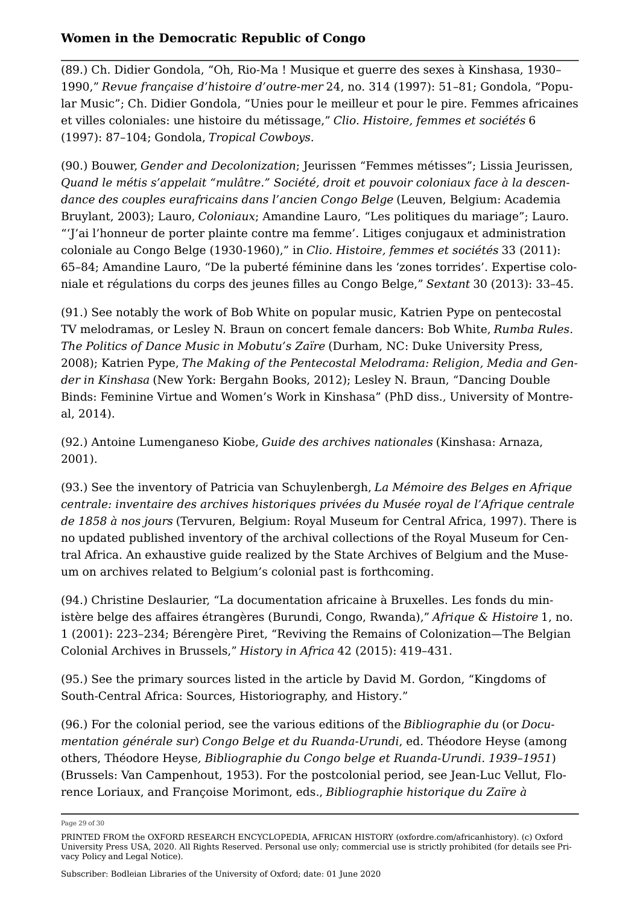<span id="page-28-0"></span>([89.](#page-17-5)) Ch. Didier Gondola, "Oh, Rio-Ma ! Musique et guerre des sexes à Kinshasa, 1930– 1990," *Revue française d'histoire d'outre-mer* 24, no. 314 (1997): 51–81; Gondola, "Popular Music"; Ch. Didier Gondola, "Unies pour le meilleur et pour le pire. Femmes africaines et villes coloniales: une histoire du métissage," *Clio. Histoire' femmes et sociétés* 6 (1997): 87–104; Gondola, *Tropical Cowboys*.

<span id="page-28-1"></span>([90.](#page-17-6)) Bouwer, *Gender and Decolonization*; Jeurissen "Femmes métisses"; Lissia Jeurissen, *Quand le métis s'appelait "mulâtre." Société, droit et pouvoir coloniaux face à la descendance des couples eurafricains dans l'ancien Congo Belge* (Leuven, Belgium: Academia Bruylant, 2003); Lauro, *Coloniaux*; Amandine Lauro, "Les politiques du mariage"; Lauro. "'J'ai l'honneur de porter plainte contre ma femme'. Litiges conjugaux et administration coloniale au Congo Belge (1930-1960)," in *Clio. Histoire, femmes et sociétés* 33 (2011): 65–84; Amandine Lauro, "De la puberté féminine dans les 'zones torrides'. Expertise coloniale et régulations du corps des jeunes filles au Congo Belge," *Sextant* 30 (2013): 33–45.

<span id="page-28-2"></span>([91.](#page-17-7)) See notably the work of Bob White on popular music, Katrien Pype on pentecostal TV melodramas, or Lesley N. Braun on concert female dancers: Bob White, *Rumba Rules. The Politics of Dance Music in Mobutu's Zaïre* (Durham, NC: Duke University Press, 2008); Katrien Pype, *The Making of the Pentecostal Melodrama: Religion, Media and Gender in Kinshasa* (New York: Bergahn Books, 2012); Lesley N. Braun, "Dancing Double Binds: Feminine Virtue and Women's Work in Kinshasa" (PhD diss., University of Montreal, 2014).

<span id="page-28-3"></span>([92.](#page-17-8)) Antoine Lumenganeso Kiobe, *Guide des archives nationales* (Kinshasa: Arnaza, 2001).

<span id="page-28-4"></span>([93.](#page-18-0)) See the inventory of Patricia van Schuylenbergh, *La Mémoire des Belges en Afrique centrale: inventaire des archives historiques privées du Musée royal de l'Afrique centrale de 1858 à nos jours* (Tervuren, Belgium: Royal Museum for Central Africa, 1997). There is no updated published inventory of the archival collections of the Royal Museum for Central Africa. An exhaustive guide realized by the State Archives of Belgium and the Museum on archives related to Belgium's colonial past is forthcoming.

<span id="page-28-5"></span>([94.](#page-18-1)) Christine Deslaurier, "La documentation africaine à Bruxelles. Les fonds du ministère belge des affaires étrangères (Burundi, Congo, Rwanda)," *Afrique & Histoire* 1, no. 1 (2001): 223–234; Bérengère Piret, "Reviving the Remains of Colonization—The Belgian Colonial Archives in Brussels," *History in Africa* 42 (2015): 419–431.

<span id="page-28-6"></span>([95.](#page-18-2)) See the primary sources listed in the article by David M. Gordon, "[Kingdoms of](https://oxfordre.com/documentId/acrefore-9780190277734-e-146)  [South-Central Africa: Sources, Historiography, and History](https://oxfordre.com/documentId/acrefore-9780190277734-e-146)."

<span id="page-28-7"></span>([96.](#page-18-3)) For the colonial period, see the various editions of the *Bibliographie du* (or *Documentation générale sur*) *Congo Belge et du Ruanda-Urundi*, ed. Théodore Heyse (among others, Théodore Heyse*, Bibliographie du Congo belge et Ruanda-Urundi. 1939–1951*) (Brussels: Van Campenhout, 1953). For the postcolonial period, see Jean-Luc Vellut, Florence Loriaux, and Françoise Morimont, eds., *Bibliographie historique du Zaïre à* 

Page 29 of 30

PRINTED FROM the OXFORD RESEARCH ENCYCLOPEDIA, AFRICAN HISTORY (oxfordre.com/africanhistory). (c) Oxford University Press USA, 2020. All Rights Reserved. Personal use only; commercial use is strictly prohibited (for details see [Pri](https://global.oup.com/privacy)[vacy Policy](https://global.oup.com/privacy) and [Legal Notice](https://oxfordre.com/page/legal-notice)).